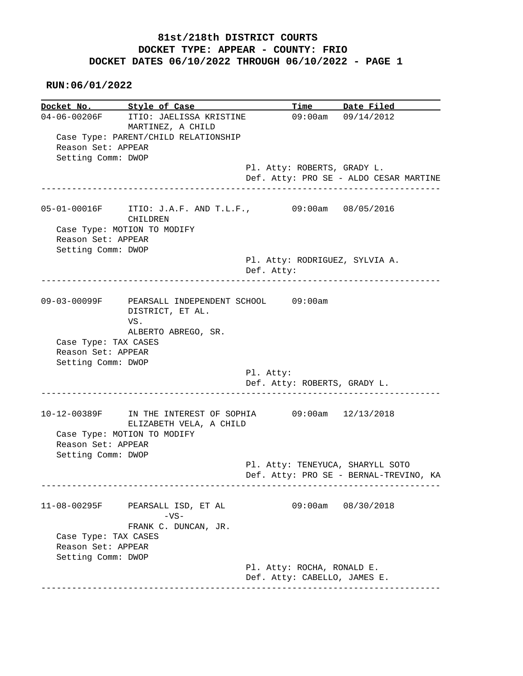|                                                                                  | Docket No. Style of Case                                                                            |                                              | Time Date Filed                                              |
|----------------------------------------------------------------------------------|-----------------------------------------------------------------------------------------------------|----------------------------------------------|--------------------------------------------------------------|
| 04-06-00206F<br>Reason Set: APPEAR<br>Setting Comm: DWOP                         | ITIO: JAELISSA KRISTINE<br>MARTINEZ, A CHILD<br>Case Type: PARENT/CHILD RELATIONSHIP                |                                              | $09:00$ am $09/14/2012$                                      |
|                                                                                  |                                                                                                     | Pl. Atty: ROBERTS, GRADY L.                  | Def. Atty: PRO SE - ALDO CESAR MARTINE                       |
| Reason Set: APPEAR<br>Setting Comm: DWOP                                         | 05-01-00016F ITIO: J.A.F. AND T.L.F., 09:00am 08/05/2016<br>CHILDREN<br>Case Type: MOTION TO MODIFY |                                              |                                                              |
|                                                                                  | ___________________________                                                                         | Pl. Atty: RODRIGUEZ, SYLVIA A.<br>Def. Atty: |                                                              |
| Case Type: TAX CASES                                                             | 09-03-00099F PEARSALL INDEPENDENT SCHOOL 09:00am<br>DISTRICT, ET AL.<br>VS.<br>ALBERTO ABREGO, SR.  |                                              |                                                              |
| Reason Set: APPEAR                                                               |                                                                                                     |                                              |                                                              |
| Setting Comm: DWOP                                                               |                                                                                                     | Pl. Atty:<br>Def. Atty: ROBERTS, GRADY L.    |                                                              |
| Reason Set: APPEAR                                                               | IN THE INTEREST OF SOPHIA<br>ELIZABETH VELA, A CHILD<br>Case Type: MOTION TO MODIFY                 |                                              | 09:00am 12/13/2018                                           |
| 10-12-00389F<br>Setting Comm: DWOP                                               |                                                                                                     | Pl. Atty: TENEYUCA, SHARYLL SOTO             |                                                              |
| 11-08-00295F<br>Case Type: TAX CASES<br>Reason Set: APPEAR<br>Setting Comm: DWOP | PEARSALL ISD, ET AL<br>$-VS-$<br>FRANK C. DUNCAN, JR.                                               |                                              | Def. Atty: PRO SE - BERNAL-TREVINO, KA<br>09:00am 08/30/2018 |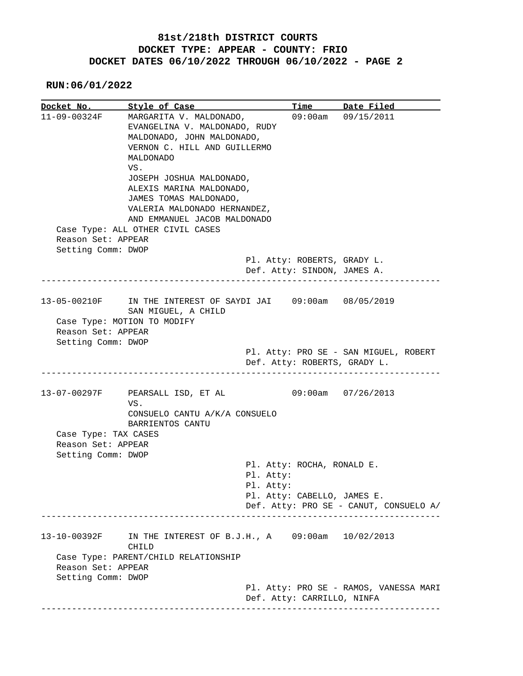|                      | Docket No. Style of Case                                 |            |                             | Time Date Filed                        |
|----------------------|----------------------------------------------------------|------------|-----------------------------|----------------------------------------|
| 11-09-00324F         | MARGARITA V. MALDONADO,                                  |            |                             | 09:00am 09/15/2011                     |
|                      | EVANGELINA V. MALDONADO, RUDY                            |            |                             |                                        |
|                      | MALDONADO, JOHN MALDONADO,                               |            |                             |                                        |
|                      | VERNON C. HILL AND GUILLERMO                             |            |                             |                                        |
|                      | MALDONADO                                                |            |                             |                                        |
|                      | VS.                                                      |            |                             |                                        |
|                      | JOSEPH JOSHUA MALDONADO,                                 |            |                             |                                        |
|                      | ALEXIS MARINA MALDONADO,                                 |            |                             |                                        |
|                      | JAMES TOMAS MALDONADO,                                   |            |                             |                                        |
|                      | VALERIA MALDONADO HERNANDEZ,                             |            |                             |                                        |
|                      | AND EMMANUEL JACOB MALDONADO                             |            |                             |                                        |
|                      | Case Type: ALL OTHER CIVIL CASES                         |            |                             |                                        |
| Reason Set: APPEAR   |                                                          |            |                             |                                        |
| Setting Comm: DWOP   |                                                          |            |                             |                                        |
|                      |                                                          |            | Pl. Atty: ROBERTS, GRADY L. |                                        |
|                      |                                                          |            | Def. Atty: SINDON, JAMES A. |                                        |
|                      |                                                          |            |                             |                                        |
|                      |                                                          |            |                             |                                        |
| 13-05-00210F         | IN THE INTEREST OF SAYDI JAI 09:00am 08/05/2019          |            |                             |                                        |
|                      | SAN MIGUEL, A CHILD                                      |            |                             |                                        |
|                      | Case Type: MOTION TO MODIFY                              |            |                             |                                        |
| Reason Set: APPEAR   |                                                          |            |                             |                                        |
|                      |                                                          |            |                             |                                        |
|                      |                                                          |            |                             |                                        |
| Setting Comm: DWOP   |                                                          |            |                             |                                        |
|                      |                                                          |            |                             | Pl. Atty: PRO SE - SAN MIGUEL, ROBERT  |
|                      |                                                          | ---------- |                             | Def. Atty: ROBERTS, GRADY L.           |
|                      |                                                          |            |                             |                                        |
|                      | PEARSALL ISD, ET AL                                      |            |                             | 09:00am 07/26/2013                     |
|                      | VS.                                                      |            |                             |                                        |
|                      | CONSUELO CANTU A/K/A CONSUELO                            |            |                             |                                        |
|                      | BARRIENTOS CANTU                                         |            |                             |                                        |
| Case Type: TAX CASES |                                                          |            |                             |                                        |
| Reason Set: APPEAR   |                                                          |            |                             |                                        |
| Setting Comm: DWOP   |                                                          |            |                             |                                        |
|                      |                                                          |            | Pl. Atty: ROCHA, RONALD E.  |                                        |
|                      |                                                          | Pl. Atty:  |                             |                                        |
| 13-07-00297F         |                                                          | Pl. Atty:  |                             |                                        |
|                      |                                                          |            | Pl. Atty: CABELLO, JAMES E. |                                        |
|                      |                                                          |            |                             | Def. Atty: PRO SE - CANUT, CONSUELO A/ |
|                      |                                                          |            |                             |                                        |
|                      |                                                          |            |                             |                                        |
|                      | IN THE INTEREST OF B.J.H., A 09:00am 10/02/2013<br>CHILD |            |                             |                                        |
|                      | Case Type: PARENT/CHILD RELATIONSHIP                     |            |                             |                                        |
| Reason Set: APPEAR   |                                                          |            |                             |                                        |
| Setting Comm: DWOP   |                                                          |            |                             |                                        |
| 13-10-00392F         |                                                          |            |                             | Pl. Atty: PRO SE - RAMOS, VANESSA MARI |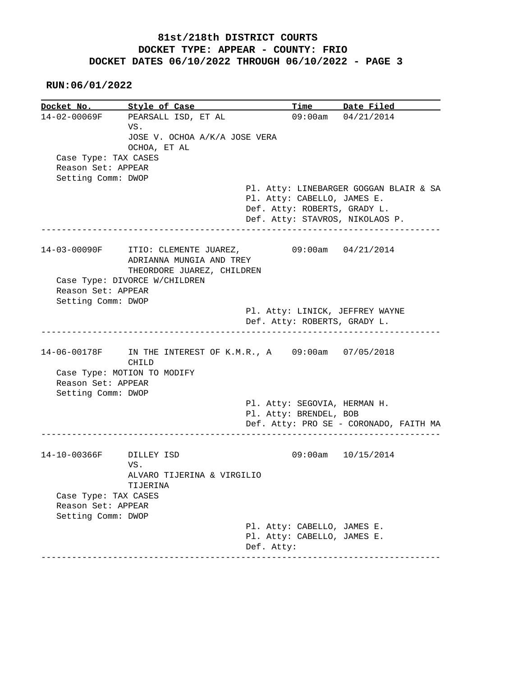**RUN:06/01/2022**

**Docket No.** Style of Case Time Date Filed 14-02-00069F PEARSALL ISD, ET AL 09:00am 04/21/2014 VS. JOSE V. OCHOA A/K/A JOSE VERA OCHOA, ET AL Case Type: TAX CASES Reason Set: APPEAR Setting Comm: DWOP Pl. Atty: LINEBARGER GOGGAN BLAIR & SA Pl. Atty: CABELLO, JAMES E. Def. Atty: ROBERTS, GRADY L. Def. Atty: STAVROS, NIKOLAOS P. ------------------------------------------------------------------------------ 14-03-00090F ITIO: CLEMENTE JUAREZ, 09:00am 04/21/2014 ADRIANNA MUNGIA AND TREY THEORDORE JUAREZ, CHILDREN Case Type: DIVORCE W/CHILDREN Reason Set: APPEAR Setting Comm: DWOP Pl. Atty: LINICK, JEFFREY WAYNE Def. Atty: ROBERTS, GRADY L. ------------------------------------------------------------------------------ 14-06-00178F IN THE INTEREST OF K.M.R., A 09:00am 07/05/2018 CHILD Case Type: MOTION TO MODIFY Reason Set: APPEAR Setting Comm: DWOP Pl. Atty: SEGOVIA, HERMAN H. Pl. Atty: BRENDEL, BOB Def. Atty: PRO SE - CORONADO, FAITH MA ------------------------------------------------------------------------------ 14-10-00366F DILLEY ISD 09:00am 10/15/2014 VS. ALVARO TIJERINA & VIRGILIO TIJERINA Case Type: TAX CASES Reason Set: APPEAR Setting Comm: DWOP Pl. Atty: CABELLO, JAMES E. Pl. Atty: CABELLO, JAMES E. Def. Atty: ------------------------------------------------------------------------------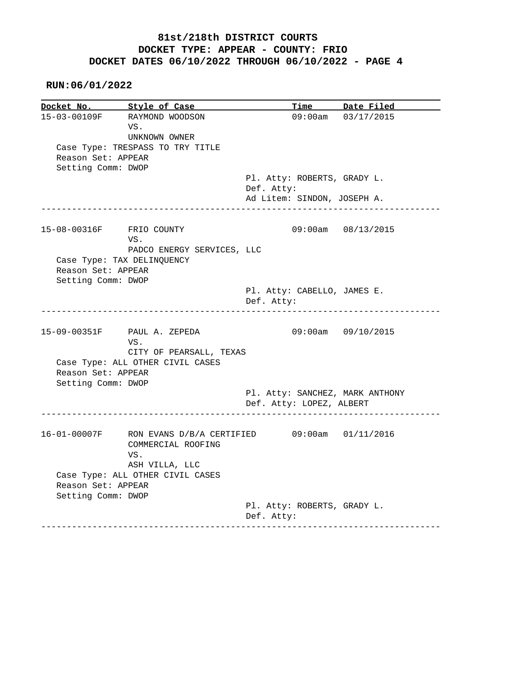| Docket No. Style of Case                 |                                                                                                          |                                                                          | Time Date Filed             |
|------------------------------------------|----------------------------------------------------------------------------------------------------------|--------------------------------------------------------------------------|-----------------------------|
| Reason Set: APPEAR<br>Setting Comm: DWOP | 15-03-00109F RAYMOND WOODSON<br>VS.<br>UNKNOWN OWNER<br>Case Type: TRESPASS TO TRY TITLE                 |                                                                          | $09:00$ am $03/17/2015$     |
|                                          |                                                                                                          | Pl. Atty: ROBERTS, GRADY L.<br>Def. Atty:<br>Ad Litem: SINDON, JOSEPH A. |                             |
| -------------------                      |                                                                                                          |                                                                          |                             |
| 15-08-00316F FRIO COUNTY                 | VS.<br>PADCO ENERGY SERVICES, LLC                                                                        |                                                                          | 09:00am 08/13/2015          |
| Reason Set: APPEAR<br>Setting Comm: DWOP | Case Type: TAX DELINQUENCY                                                                               |                                                                          |                             |
|                                          | -------------------------------------                                                                    | Pl. Atty: CABELLO, JAMES E.<br>Def. Atty:                                | ___________________________ |
|                                          | 15-09-00351F PAUL A. ZEPEDA<br>VS.<br>CITY OF PEARSALL, TEXAS                                            |                                                                          | $09:00am$ $09/10/2015$      |
| Reason Set: APPEAR<br>Setting Comm: DWOP | Case Type: ALL OTHER CIVIL CASES                                                                         |                                                                          |                             |
|                                          |                                                                                                          | Pl. Atty: SANCHEZ, MARK ANTHONY<br>Def. Atty: LOPEZ, ALBERT              |                             |
|                                          | 16-01-00007F RON EVANS D/B/A CERTIFIED 09:00am 01/11/2016<br>COMMERCIAL ROOFING<br>VS.<br>ASH VILLA, LLC |                                                                          |                             |
| Reason Set: APPEAR                       | Case Type: ALL OTHER CIVIL CASES                                                                         |                                                                          |                             |
| Setting Comm: DWOP                       |                                                                                                          |                                                                          |                             |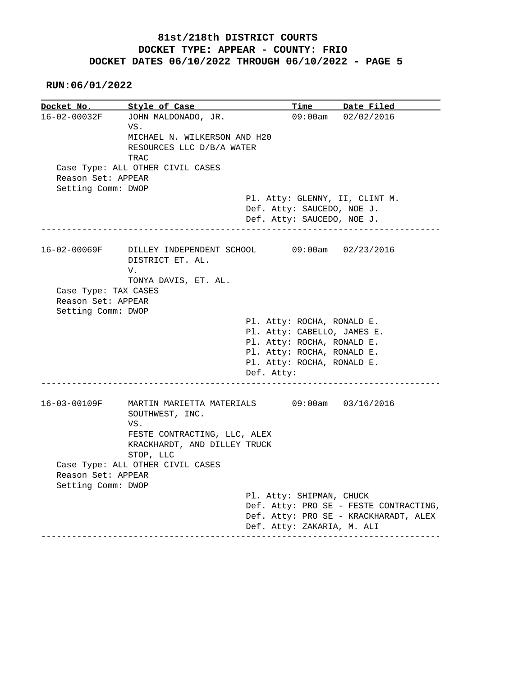**RUN:06/01/2022**

**Docket No. Style of Case Time Date Filed**  16-02-00032F JOHN MALDONADO, JR. 09:00am 02/02/2016 VS. MICHAEL N. WILKERSON AND H20 RESOURCES LLC D/B/A WATER TRAC Case Type: ALL OTHER CIVIL CASES Reason Set: APPEAR Setting Comm: DWOP Pl. Atty: GLENNY, II, CLINT M. Def. Atty: SAUCEDO, NOE J. Def. Atty: SAUCEDO, NOE J. ------------------------------------------------------------------------------ 16-02-00069F DILLEY INDEPENDENT SCHOOL 09:00am 02/23/2016 DISTRICT ET. AL. V. TONYA DAVIS, ET. AL. Case Type: TAX CASES Reason Set: APPEAR Setting Comm: DWOP Pl. Atty: ROCHA, RONALD E. Pl. Atty: CABELLO, JAMES E. Pl. Atty: ROCHA, RONALD E. Pl. Atty: ROCHA, RONALD E. Pl. Atty: ROCHA, RONALD E. Def. Atty: ------------------------------------------------------------------------------ 16-03-00109F MARTIN MARIETTA MATERIALS 09:00am 03/16/2016 SOUTHWEST, INC. VS. FESTE CONTRACTING, LLC, ALEX KRACKHARDT, AND DILLEY TRUCK STOP, LLC Case Type: ALL OTHER CIVIL CASES Reason Set: APPEAR Setting Comm: DWOP Pl. Atty: SHIPMAN, CHUCK Def. Atty: PRO SE - FESTE CONTRACTING, Def. Atty: PRO SE - KRACKHARADT, ALEX Def. Atty: ZAKARIA, M. ALI ------------------------------------------------------------------------------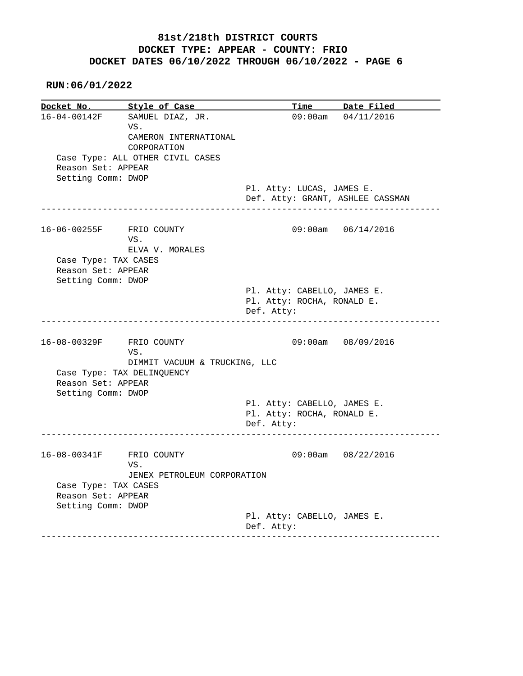**RUN:06/01/2022**

**Docket No. Style of Case Time Date Filed**  16-04-00142F SAMUEL DIAZ, JR. 09:00am 04/11/2016 VS. CAMERON INTERNATIONAL CORPORATION Case Type: ALL OTHER CIVIL CASES Reason Set: APPEAR Setting Comm: DWOP Pl. Atty: LUCAS, JAMES E. Def. Atty: GRANT, ASHLEE CASSMAN ------------------------------------------------------------------------------ 16-06-00255F FRIO COUNTY 09:00am 06/14/2016 VS. ELVA V. MORALES Case Type: TAX CASES Reason Set: APPEAR Setting Comm: DWOP Pl. Atty: CABELLO, JAMES E. Pl. Atty: ROCHA, RONALD E. Def. Atty: ------------------------------------------------------------------------------ 16-08-00329F FRIO COUNTY 09:00am 08/09/2016 VS. DIMMIT VACUUM & TRUCKING, LLC Case Type: TAX DELINQUENCY Reason Set: APPEAR Setting Comm: DWOP Pl. Atty: CABELLO, JAMES E. Pl. Atty: ROCHA, RONALD E. Def. Atty: ------------------------------------------------------------------------------ 16-08-00341F FRIO COUNTY 09:00am 08/22/2016 VS. JENEX PETROLEUM CORPORATION Case Type: TAX CASES Reason Set: APPEAR Setting Comm: DWOP Pl. Atty: CABELLO, JAMES E. Def. Atty: ------------------------------------------------------------------------------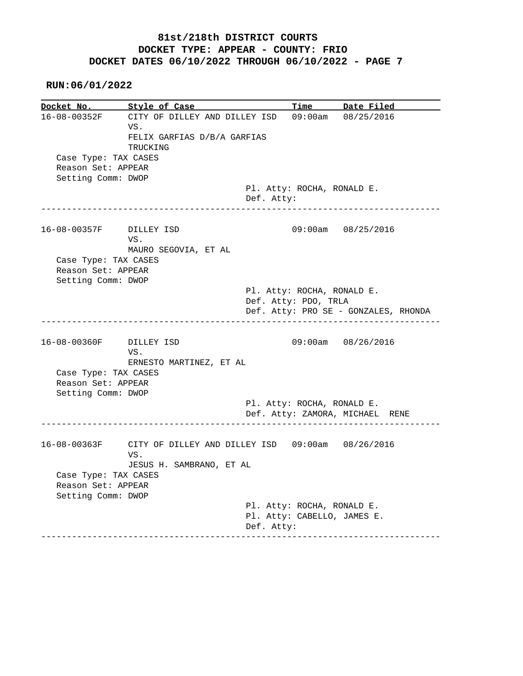| Docket No.           | Style of Case                                                 |                      | Time | Date Filed                                                |
|----------------------|---------------------------------------------------------------|----------------------|------|-----------------------------------------------------------|
| 16-08-00352F         | CITY OF DILLEY AND DILLEY ISD<br>VS.                          |                      |      | 09:00am 08/25/2016                                        |
|                      | FELIX GARFIAS D/B/A GARFIAS                                   |                      |      |                                                           |
|                      | TRUCKING                                                      |                      |      |                                                           |
| Case Type: TAX CASES |                                                               |                      |      |                                                           |
| Reason Set: APPEAR   |                                                               |                      |      |                                                           |
| Setting Comm: DWOP   |                                                               |                      |      |                                                           |
|                      |                                                               |                      |      | Pl. Atty: ROCHA, RONALD E.                                |
|                      |                                                               | Def. Atty:           |      | -----------------------                                   |
| 16-08-00357F         | DILLEY ISD                                                    |                      |      | 09:00am 08/25/2016                                        |
|                      | VS.                                                           |                      |      |                                                           |
|                      | MAURO SEGOVIA, ET AL                                          |                      |      |                                                           |
| Case Type: TAX CASES |                                                               |                      |      |                                                           |
| Reason Set: APPEAR   |                                                               |                      |      |                                                           |
| Setting Comm: DWOP   |                                                               |                      |      |                                                           |
|                      |                                                               |                      |      | Pl. Atty: ROCHA, RONALD E.                                |
|                      |                                                               |                      |      |                                                           |
|                      |                                                               | Def. Atty: PDO, TRLA |      |                                                           |
|                      |                                                               |                      |      | Def. Atty: PRO SE - GONZALES, RHONDA                      |
|                      |                                                               |                      |      |                                                           |
| 16-08-00360F         | DILLEY ISD<br>VS.                                             |                      |      | 09:00am 08/26/2016                                        |
|                      | ERNESTO MARTINEZ, ET AL                                       |                      |      |                                                           |
| Case Type: TAX CASES |                                                               |                      |      |                                                           |
| Reason Set: APPEAR   |                                                               |                      |      |                                                           |
| Setting Comm: DWOP   |                                                               |                      |      |                                                           |
|                      |                                                               |                      |      | Pl. Atty: ROCHA, RONALD E.                                |
|                      |                                                               |                      |      | Def. Atty: ZAMORA, MICHAEL RENE                           |
|                      |                                                               |                      |      |                                                           |
|                      | 16-08-00363F CITY OF DILLEY AND DILLEY ISD 09:00am 08/26/2016 |                      |      |                                                           |
|                      | VS.                                                           |                      |      |                                                           |
|                      | JESUS H. SAMBRANO, ET AL                                      |                      |      |                                                           |
| Case Type: TAX CASES |                                                               |                      |      |                                                           |
| Reason Set: APPEAR   |                                                               |                      |      |                                                           |
| Setting Comm: DWOP   |                                                               |                      |      |                                                           |
|                      |                                                               |                      |      | Pl. Atty: ROCHA, RONALD E.<br>Pl. Atty: CABELLO, JAMES E. |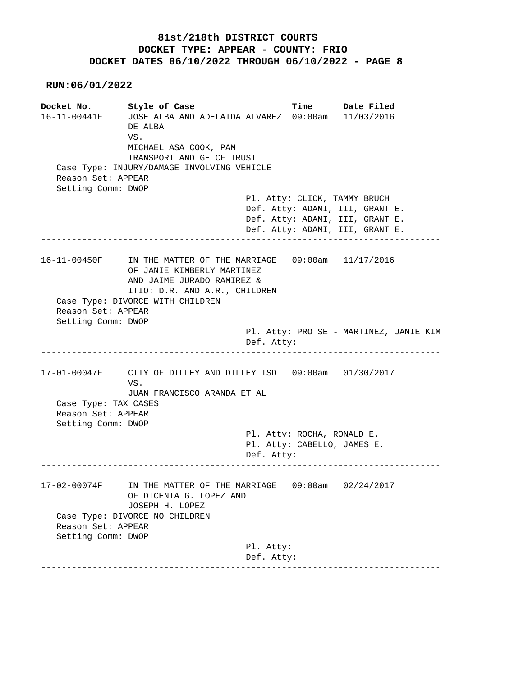**RUN:06/01/2022**

**Docket No. Style of Case Time Date Filed**  16-11-00441F JOSE ALBA AND ADELAIDA ALVAREZ 09:00am 11/03/2016 DE ALBA VS. MICHAEL ASA COOK, PAM TRANSPORT AND GE CF TRUST Case Type: INJURY/DAMAGE INVOLVING VEHICLE Reason Set: APPEAR Setting Comm: DWOP Pl. Atty: CLICK, TAMMY BRUCH Def. Atty: ADAMI, III, GRANT E. Def. Atty: ADAMI, III, GRANT E. Def. Atty: ADAMI, III, GRANT E. ------------------------------------------------------------------------------ 16-11-00450F IN THE MATTER OF THE MARRIAGE 09:00am 11/17/2016 OF JANIE KIMBERLY MARTINEZ AND JAIME JURADO RAMIREZ & ITIO: D.R. AND A.R., CHILDREN Case Type: DIVORCE WITH CHILDREN Reason Set: APPEAR Setting Comm: DWOP Pl. Atty: PRO SE - MARTINEZ, JANIE KIM Def. Atty: ------------------------------------------------------------------------------ 17-01-00047F CITY OF DILLEY AND DILLEY ISD 09:00am 01/30/2017 VS. JUAN FRANCISCO ARANDA ET AL Case Type: TAX CASES Reason Set: APPEAR Setting Comm: DWOP Pl. Atty: ROCHA, RONALD E. Pl. Atty: CABELLO, JAMES E. Def. Atty: ------------------------------------------------------------------------------ 17-02-00074F IN THE MATTER OF THE MARRIAGE 09:00am 02/24/2017 OF DICENIA G. LOPEZ AND JOSEPH H. LOPEZ Case Type: DIVORCE NO CHILDREN Reason Set: APPEAR Setting Comm: DWOP Pl. Atty: Def. Atty: ------------------------------------------------------------------------------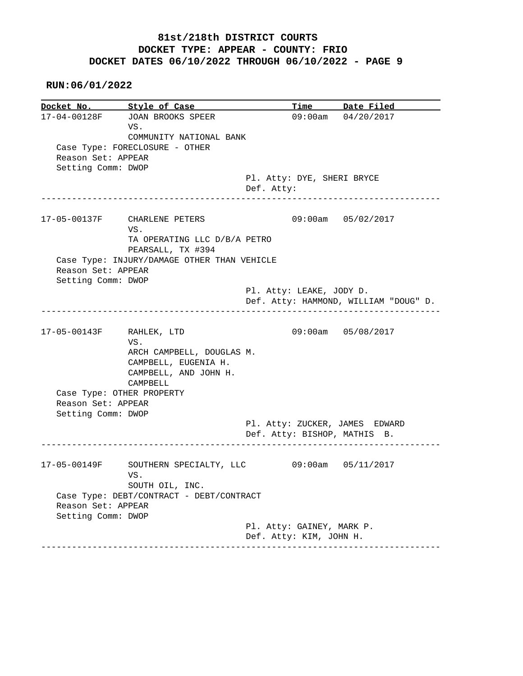**RUN:06/01/2022**

**Docket No.** Style of Case Time Date Filed 17-04-00128F JOAN BROOKS SPEER 09:00am 04/20/2017 VS. COMMUNITY NATIONAL BANK Case Type: FORECLOSURE - OTHER Reason Set: APPEAR Setting Comm: DWOP Pl. Atty: DYE, SHERI BRYCE Def. Atty: ------------------------------------------------------------------------------ 17-05-00137F CHARLENE PETERS 09:00am 05/02/2017 VS. TA OPERATING LLC D/B/A PETRO PEARSALL, TX #394 Case Type: INJURY/DAMAGE OTHER THAN VEHICLE Reason Set: APPEAR Setting Comm: DWOP Pl. Atty: LEAKE, JODY D. Def. Atty: HAMMOND, WILLIAM "DOUG" D. ------------------------------------------------------------------------------ 17-05-00143F RAHLEK, LTD 09:00am 05/08/2017 VS. ARCH CAMPBELL, DOUGLAS M. CAMPBELL, EUGENIA H. CAMPBELL, AND JOHN H. CAMPBELL Case Type: OTHER PROPERTY Reason Set: APPEAR Setting Comm: DWOP Pl. Atty: ZUCKER, JAMES EDWARD Def. Atty: BISHOP, MATHIS B. ------------------------------------------------------------------------------ 17-05-00149F SOUTHERN SPECIALTY, LLC 09:00am 05/11/2017 VS. SOUTH OIL, INC. Case Type: DEBT/CONTRACT - DEBT/CONTRACT Reason Set: APPEAR Setting Comm: DWOP Pl. Atty: GAINEY, MARK P. Def. Atty: KIM, JOHN H. ------------------------------------------------------------------------------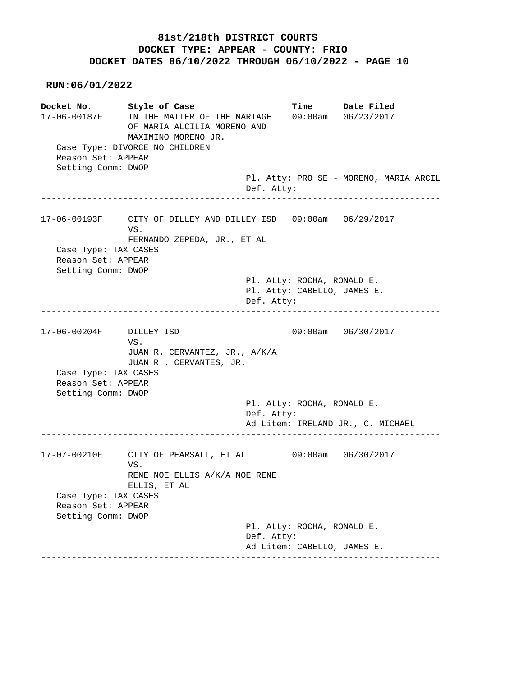**RUN:06/01/2022**

**Docket No. Style of Case Time Date Filed**  17-06-00187F IN THE MATTER OF THE MARIAGE 09:00am 06/23/2017 OF MARIA ALCILIA MORENO AND MAXIMINO MORENO JR. Case Type: DIVORCE NO CHILDREN Reason Set: APPEAR Setting Comm: DWOP Pl. Atty: PRO SE - MORENO, MARIA ARCIL Def. Atty: ------------------------------------------------------------------------------ 17-06-00193F CITY OF DILLEY AND DILLEY ISD 09:00am 06/29/2017 VS. FERNANDO ZEPEDA, JR., ET AL Case Type: TAX CASES Reason Set: APPEAR Setting Comm: DWOP Pl. Atty: ROCHA, RONALD E. Pl. Atty: CABELLO, JAMES E. Def. Atty: ------------------------------------------------------------------------------ 17-06-00204F DILLEY ISD 09:00am 06/30/2017 VS. JUAN R. CERVANTEZ, JR., A/K/A JUAN R . CERVANTES, JR. Case Type: TAX CASES Reason Set: APPEAR Setting Comm: DWOP Pl. Atty: ROCHA, RONALD E. Def. Atty: Ad Litem: IRELAND JR., C. MICHAEL ------------------------------------------------------------------------------ 17-07-00210F CITY OF PEARSALL, ET AL 09:00am 06/30/2017 VS. RENE NOE ELLIS A/K/A NOE RENE ELLIS, ET AL Case Type: TAX CASES Reason Set: APPEAR Setting Comm: DWOP Pl. Atty: ROCHA, RONALD E. Def. Atty: Ad Litem: CABELLO, JAMES E. ------------------------------------------------------------------------------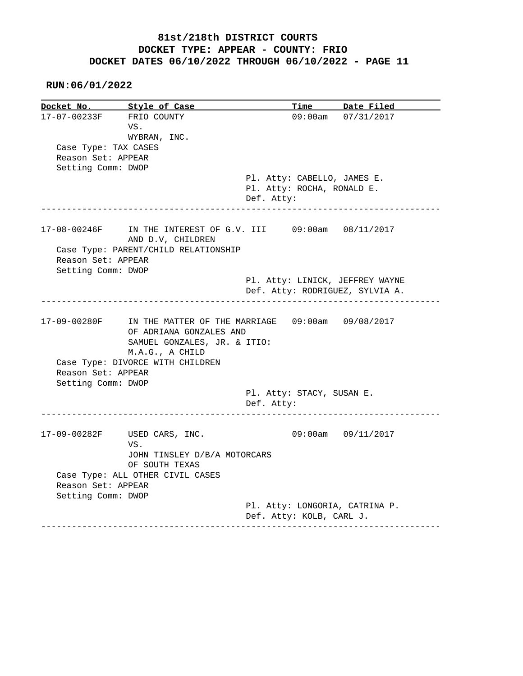|                                          | Style of Case                                                                                                  | Time                                    | Date Filed              |
|------------------------------------------|----------------------------------------------------------------------------------------------------------------|-----------------------------------------|-------------------------|
| 17-07-00233F                             | FRIO COUNTY                                                                                                    |                                         | 09:00am 07/31/2017      |
|                                          | VS.                                                                                                            |                                         |                         |
|                                          | WYBRAN, INC.                                                                                                   |                                         |                         |
| Case Type: TAX CASES                     |                                                                                                                |                                         |                         |
| Reason Set: APPEAR                       |                                                                                                                |                                         |                         |
| Setting Comm: DWOP                       |                                                                                                                |                                         |                         |
|                                          |                                                                                                                | Pl. Atty: CABELLO, JAMES E.             |                         |
|                                          |                                                                                                                | Pl. Atty: ROCHA, RONALD E.              |                         |
|                                          |                                                                                                                | Def. Atty:                              |                         |
|                                          | ----------------                                                                                               |                                         |                         |
|                                          | 17-08-00246F IN THE INTEREST OF G.V. III 09:00am 08/11/2017<br>AND D.V, CHILDREN                               |                                         |                         |
|                                          | Case Type: PARENT/CHILD RELATIONSHIP                                                                           |                                         |                         |
| Reason Set: APPEAR                       |                                                                                                                |                                         |                         |
| Setting Comm: DWOP                       |                                                                                                                |                                         |                         |
|                                          |                                                                                                                | Pl. Atty: LINICK, JEFFREY WAYNE         |                         |
|                                          |                                                                                                                | Def. Atty: RODRIGUEZ, SYLVIA A.         |                         |
|                                          | 17-09-00280F IN THE MATTER OF THE MARRIAGE 09:00am 09/08/2017                                                  |                                         |                         |
| Reason Set: APPEAR<br>Setting Comm: DWOP | OF ADRIANA GONZALES AND<br>SAMUEL GONZALES, JR. & ITIO:<br>M.A.G., A CHILD<br>Case Type: DIVORCE WITH CHILDREN |                                         |                         |
|                                          |                                                                                                                | Pl. Atty: STACY, SUSAN E.<br>Def. Atty: |                         |
|                                          | 17-09-00282F USED CARS, INC.<br>VS.                                                                            |                                         | $09:00$ am $09/11/2017$ |
|                                          | JOHN TINSLEY D/B/A MOTORCARS                                                                                   |                                         |                         |
|                                          | OF SOUTH TEXAS                                                                                                 |                                         |                         |
|                                          | Case Type: ALL OTHER CIVIL CASES                                                                               |                                         |                         |
| Reason Set: APPEAR                       |                                                                                                                |                                         |                         |
| Setting Comm: DWOP                       |                                                                                                                |                                         |                         |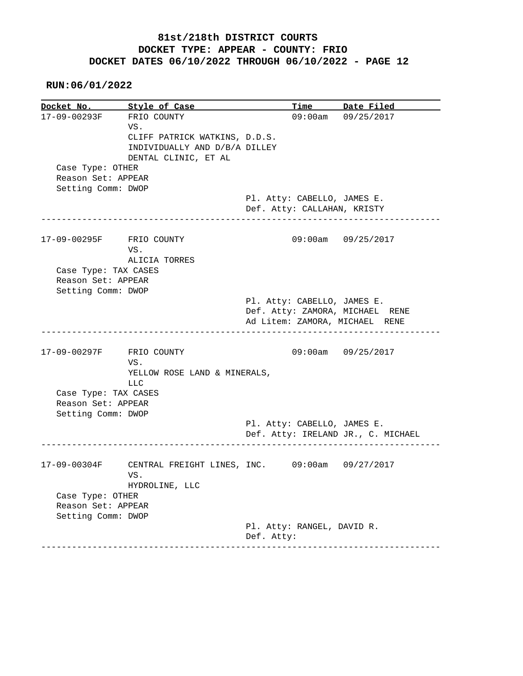**RUN:06/01/2022**

**Docket No. Style of Case Time Date Filed**  17-09-00293F FRIO COUNTY 09:00am 09/25/2017 VS. CLIFF PATRICK WATKINS, D.D.S. INDIVIDUALLY AND D/B/A DILLEY DENTAL CLINIC, ET AL Case Type: OTHER Reason Set: APPEAR Setting Comm: DWOP Pl. Atty: CABELLO, JAMES E. Def. Atty: CALLAHAN, KRISTY ------------------------------------------------------------------------------ 17-09-00295F FRIO COUNTY 09:00am 09/25/2017 VS. ALICIA TORRES Case Type: TAX CASES Reason Set: APPEAR Setting Comm: DWOP Pl. Atty: CABELLO, JAMES E. Def. Atty: ZAMORA, MICHAEL RENE Ad Litem: ZAMORA, MICHAEL RENE ------------------------------------------------------------------------------ 17-09-00297F FRIO COUNTY 09:00am 09/25/2017 VS. YELLOW ROSE LAND & MINERALS, LLC Case Type: TAX CASES Reason Set: APPEAR Setting Comm: DWOP Pl. Atty: CABELLO, JAMES E. Def. Atty: IRELAND JR., C. MICHAEL ------------------------------------------------------------------------------ 17-09-00304F CENTRAL FREIGHT LINES, INC. 09:00am 09/27/2017 VS. HYDROLINE, LLC Case Type: OTHER Reason Set: APPEAR Setting Comm: DWOP Pl. Atty: RANGEL, DAVID R. Def. Atty: ------------------------------------------------------------------------------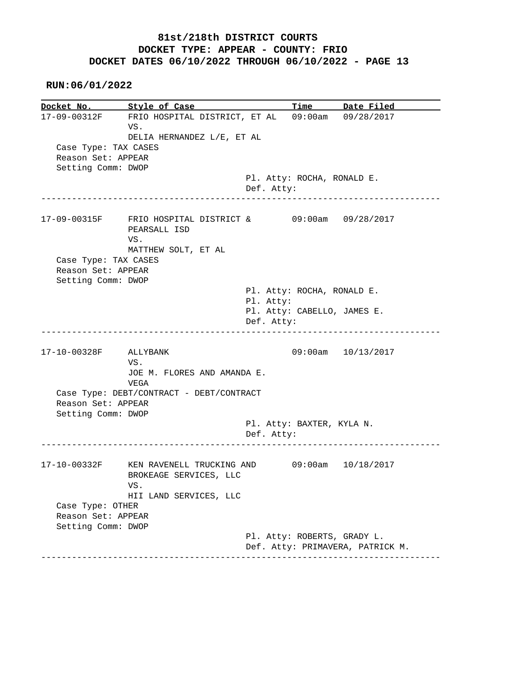**RUN:06/01/2022**

**Docket No. Style of Case Time Date Filed**  17-09-00312F FRIO HOSPITAL DISTRICT, ET AL 09:00am 09/28/2017 VS. DELIA HERNANDEZ L/E, ET AL Case Type: TAX CASES Reason Set: APPEAR Setting Comm: DWOP Pl. Atty: ROCHA, RONALD E. Def. Atty: ------------------------------------------------------------------------------ 17-09-00315F FRIO HOSPITAL DISTRICT & 09:00am 09/28/2017 PEARSALL ISD VS. MATTHEW SOLT, ET AL Case Type: TAX CASES Reason Set: APPEAR Setting Comm: DWOP Pl. Atty: ROCHA, RONALD E. Pl. Atty: Pl. Atty: CABELLO, JAMES E. Def. Atty: ------------------------------------------------------------------------------ 17-10-00328F ALLYBANK 09:00am 10/13/2017 VS. JOE M. FLORES AND AMANDA E. VEGA Case Type: DEBT/CONTRACT - DEBT/CONTRACT Reason Set: APPEAR Setting Comm: DWOP Pl. Atty: BAXTER, KYLA N. Def. Atty: ------------------------------------------------------------------------------ 17-10-00332F KEN RAVENELL TRUCKING AND 09:00am 10/18/2017 BROKEAGE SERVICES, LLC VS. HII LAND SERVICES, LLC Case Type: OTHER Reason Set: APPEAR Setting Comm: DWOP Pl. Atty: ROBERTS, GRADY L. Def. Atty: PRIMAVERA, PATRICK M. ------------------------------------------------------------------------------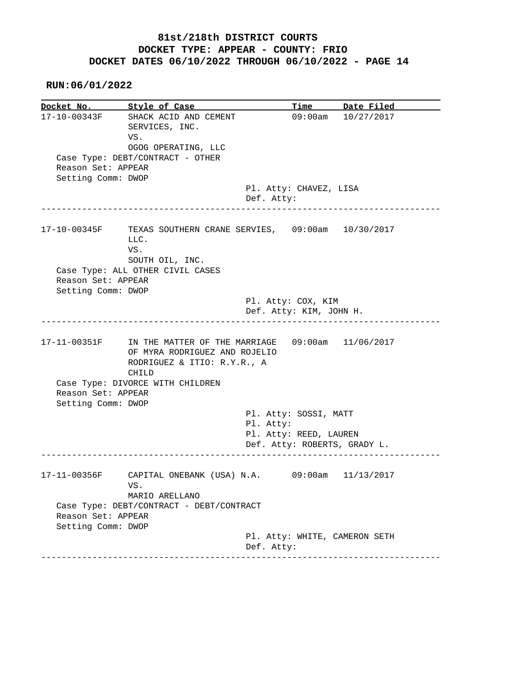|                    | Docket No. Style of Case                                                                                  | Time                          | Date Filed         |
|--------------------|-----------------------------------------------------------------------------------------------------------|-------------------------------|--------------------|
| 17-10-00343F       | SHACK ACID AND CEMENT                                                                                     |                               | 09:00am 10/27/2017 |
|                    | SERVICES, INC.                                                                                            |                               |                    |
|                    | VS.                                                                                                       |                               |                    |
|                    | OGOG OPERATING, LLC                                                                                       |                               |                    |
|                    | Case Type: DEBT/CONTRACT - OTHER                                                                          |                               |                    |
| Reason Set: APPEAR |                                                                                                           |                               |                    |
| Setting Comm: DWOP |                                                                                                           |                               |                    |
|                    |                                                                                                           | Pl. Atty: CHAVEZ, LISA        |                    |
|                    |                                                                                                           | Def. Atty:                    |                    |
|                    |                                                                                                           |                               |                    |
| 17-10-00345F       | TEXAS SOUTHERN CRANE SERVIES, 09:00am 10/30/2017                                                          |                               |                    |
|                    | LLC.                                                                                                      |                               |                    |
|                    | VS.                                                                                                       |                               |                    |
|                    | SOUTH OIL, INC.                                                                                           |                               |                    |
|                    | Case Type: ALL OTHER CIVIL CASES                                                                          |                               |                    |
| Reason Set: APPEAR |                                                                                                           |                               |                    |
|                    |                                                                                                           |                               |                    |
| Setting Comm: DWOP |                                                                                                           |                               |                    |
|                    |                                                                                                           | Pl. Atty: COX, KIM            |                    |
|                    |                                                                                                           | Def. Atty: KIM, JOHN H.       |                    |
| 17-11-00351F       | IN THE MATTER OF THE MARRIAGE 09:00am 11/06/2017                                                          |                               |                    |
| Reason Set: APPEAR | OF MYRA RODRIGUEZ AND ROJELIO<br>RODRIGUEZ & ITIO: R.Y.R., A<br>CHILD<br>Case Type: DIVORCE WITH CHILDREN |                               |                    |
| Setting Comm: DWOP |                                                                                                           |                               |                    |
|                    |                                                                                                           |                               |                    |
|                    |                                                                                                           | Pl. Atty: SOSSI, MATT         |                    |
|                    |                                                                                                           | Pl. Atty:                     |                    |
|                    |                                                                                                           | Pl. Atty: REED, LAUREN        |                    |
|                    |                                                                                                           | Def. Atty: ROBERTS, GRADY L.  |                    |
| 17-11-00356F       | CAPITAL ONEBANK (USA) N.A. 09:00am 11/13/2017<br>VS.                                                      |                               |                    |
|                    | MARIO ARELLANO                                                                                            |                               |                    |
|                    | Case Type: DEBT/CONTRACT - DEBT/CONTRACT                                                                  |                               |                    |
| Reason Set: APPEAR |                                                                                                           |                               |                    |
| Setting Comm: DWOP |                                                                                                           |                               |                    |
|                    |                                                                                                           | Pl. Atty: WHITE, CAMERON SETH |                    |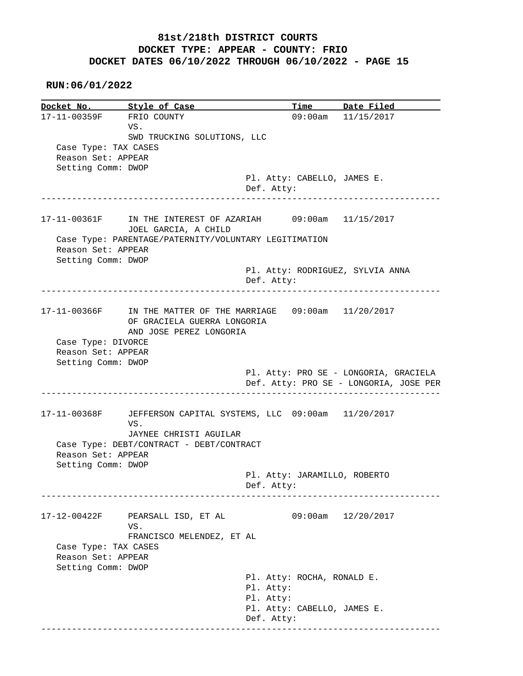|                      | Docket No. Style of Case                                       |            |                              | Time Date Filed                        |
|----------------------|----------------------------------------------------------------|------------|------------------------------|----------------------------------------|
|                      | 17-11-00359F FRIO COUNTY                                       |            |                              | 09:00am 11/15/2017                     |
|                      | VS.                                                            |            |                              |                                        |
|                      | SWD TRUCKING SOLUTIONS, LLC                                    |            |                              |                                        |
| Case Type: TAX CASES |                                                                |            |                              |                                        |
| Reason Set: APPEAR   |                                                                |            |                              |                                        |
| Setting Comm: DWOP   |                                                                |            |                              |                                        |
|                      |                                                                |            | Pl. Atty: CABELLO, JAMES E.  |                                        |
|                      |                                                                | Def. Atty: |                              |                                        |
|                      |                                                                |            |                              |                                        |
|                      | 17-11-00361F IN THE INTEREST OF AZARIAH 09:00am 11/15/2017     |            |                              |                                        |
|                      | JOEL GARCIA, A CHILD                                           |            |                              |                                        |
| Reason Set: APPEAR   | Case Type: PARENTAGE/PATERNITY/VOLUNTARY LEGITIMATION          |            |                              |                                        |
| Setting Comm: DWOP   |                                                                |            |                              |                                        |
|                      |                                                                |            |                              | Pl. Atty: RODRIGUEZ, SYLVIA ANNA       |
|                      |                                                                | Def. Atty: |                              |                                        |
|                      |                                                                |            |                              |                                        |
|                      | 17-11-00366F IN THE MATTER OF THE MARRIAGE 09:00am 11/20/2017  |            |                              |                                        |
|                      | OF GRACIELA GUERRA LONGORIA                                    |            |                              |                                        |
|                      | AND JOSE PEREZ LONGORIA                                        |            |                              |                                        |
| Case Type: DIVORCE   |                                                                |            |                              |                                        |
| Reason Set: APPEAR   |                                                                |            |                              |                                        |
|                      |                                                                |            |                              |                                        |
|                      |                                                                |            |                              |                                        |
| Setting Comm: DWOP   |                                                                |            |                              | Pl. Atty: PRO SE - LONGORIA, GRACIELA  |
|                      |                                                                |            |                              | Def. Atty: PRO SE - LONGORIA, JOSE PER |
|                      |                                                                |            |                              |                                        |
|                      | 17-11-00368F JEFFERSON CAPITAL SYSTEMS, LLC 09:00am 11/20/2017 |            |                              |                                        |
|                      | VS.                                                            |            |                              |                                        |
|                      | JAYNEE CHRISTI AGUILAR                                         |            |                              |                                        |
|                      | Case Type: DEBT/CONTRACT - DEBT/CONTRACT                       |            |                              |                                        |
| Reason Set: APPEAR   |                                                                |            |                              |                                        |
| Setting Comm: DWOP   |                                                                |            |                              |                                        |
|                      |                                                                |            | Pl. Atty: JARAMILLO, ROBERTO |                                        |
|                      |                                                                | Def. Atty: |                              |                                        |
|                      |                                                                |            |                              |                                        |
|                      | PEARSALL ISD, ET AL                                            |            | $09:00$ am                   | 12/20/2017                             |
| 17-12-00422F         | VS.                                                            |            |                              |                                        |
|                      | FRANCISCO MELENDEZ, ET AL                                      |            |                              |                                        |
| Case Type: TAX CASES |                                                                |            |                              |                                        |
| Reason Set: APPEAR   |                                                                |            |                              |                                        |
| Setting Comm: DWOP   |                                                                |            |                              |                                        |
|                      |                                                                |            | Pl. Atty: ROCHA, RONALD E.   |                                        |
|                      |                                                                | Pl. Atty:  |                              |                                        |
|                      |                                                                | Pl. Atty:  | Pl. Atty: CABELLO, JAMES E.  |                                        |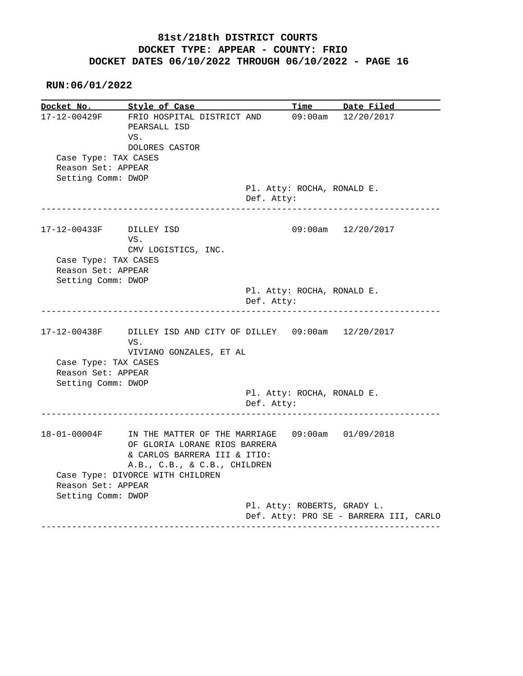| Docket No.                                                       | Style of Case                                                                                                     |            | <u>Time</u> | Date Filed                                              |
|------------------------------------------------------------------|-------------------------------------------------------------------------------------------------------------------|------------|-------------|---------------------------------------------------------|
| Case Type: TAX CASES                                             | 17-12-00429F FRIO HOSPITAL DISTRICT AND<br>PEARSALL ISD<br>VS.<br>DOLORES CASTOR                                  |            |             | $09:00am$ $12/20/2017$                                  |
| Reason Set: APPEAR                                               |                                                                                                                   |            |             |                                                         |
| Setting Comm: DWOP                                               | -----------------------------                                                                                     | Def. Atty: |             | Pl. Atty: ROCHA, RONALD E.<br>------------------------  |
| 17-12-00433F DILLEY ISD                                          | VS.<br>CMV LOGISTICS, INC.                                                                                        |            |             | 09:00am 12/20/2017                                      |
| Case Type: TAX CASES<br>Reason Set: APPEAR<br>Setting Comm: DWOP |                                                                                                                   |            |             |                                                         |
|                                                                  |                                                                                                                   | Def. Atty: |             | Pl. Atty: ROCHA, RONALD E.                              |
| Case Type: TAX CASES<br>Reason Set: APPEAR                       | 17-12-00438F DILLEY ISD AND CITY OF DILLEY 09:00am 12/20/2017<br>VS.<br>VIVIANO GONZALES, ET AL                   |            |             |                                                         |
| Setting Comm: DWOP                                               |                                                                                                                   | Def. Atty: |             | Pl. Atty: ROCHA, RONALD E.<br>------------------------- |
|                                                                  |                                                                                                                   |            |             |                                                         |
| 18-01-00004F                                                     | IN THE MATTER OF THE MARRIAGE 09:00am 01/09/2018<br>OF GLORIA LORANE RIOS BARRERA<br>& CARLOS BARRERA III & ITIO: |            |             |                                                         |
| Reason Set: APPEAR<br>Setting Comm: DWOP                         | A.B., C.B., & C.B., CHILDREN<br>Case Type: DIVORCE WITH CHILDREN                                                  |            |             |                                                         |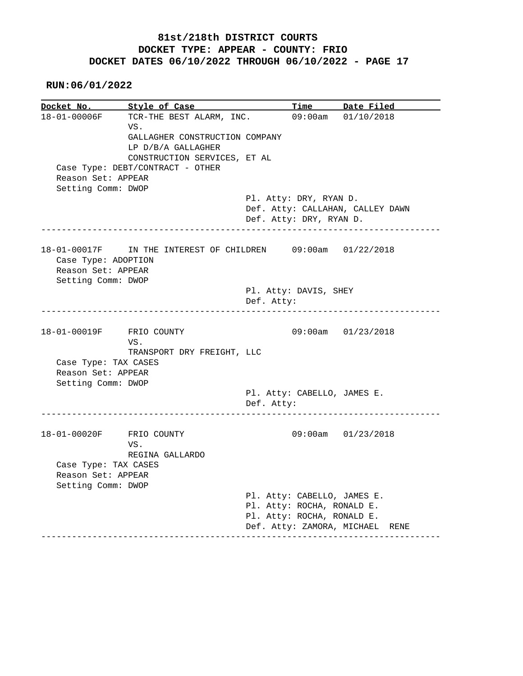**RUN:06/01/2022**

**Docket No.** Style of Case Time Date Filed 18-01-00006F TCR-THE BEST ALARM, INC. 09:00am 01/10/2018 VS. GALLAGHER CONSTRUCTION COMPANY LP D/B/A GALLAGHER CONSTRUCTION SERVICES, ET AL Case Type: DEBT/CONTRACT - OTHER Reason Set: APPEAR Setting Comm: DWOP Pl. Atty: DRY, RYAN D. Def. Atty: CALLAHAN, CALLEY DAWN Def. Atty: DRY, RYAN D. ------------------------------------------------------------------------------ 18-01-00017F IN THE INTEREST OF CHILDREN 09:00am 01/22/2018 Case Type: ADOPTION Reason Set: APPEAR Setting Comm: DWOP Pl. Atty: DAVIS, SHEY Def. Atty: ------------------------------------------------------------------------------ 18-01-00019F FRIO COUNTY 09:00am 01/23/2018 VS. TRANSPORT DRY FREIGHT, LLC Case Type: TAX CASES Reason Set: APPEAR Setting Comm: DWOP Pl. Atty: CABELLO, JAMES E. Def. Atty: ------------------------------------------------------------------------------ 18-01-00020F FRIO COUNTY 09:00am 01/23/2018 VS. REGINA GALLARDO Case Type: TAX CASES Reason Set: APPEAR Setting Comm: DWOP Pl. Atty: CABELLO, JAMES E. Pl. Atty: ROCHA, RONALD E. Pl. Atty: ROCHA, RONALD E. Def. Atty: ZAMORA, MICHAEL RENE ------------------------------------------------------------------------------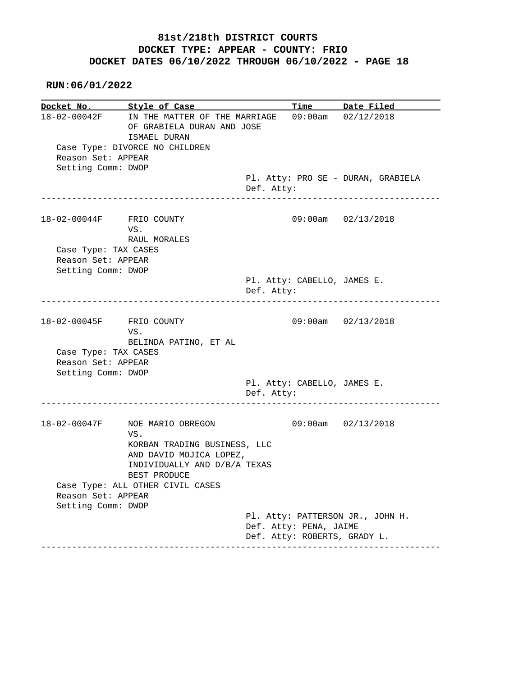| Docket No. Style of Case                 |                                                                                          |            |                             | Time Date Filed                    |
|------------------------------------------|------------------------------------------------------------------------------------------|------------|-----------------------------|------------------------------------|
|                                          | 18-02-00042F IN THE MATTER OF THE MARRIAGE<br>OF GRABIELA DURAN AND JOSE<br>ISMAEL DURAN |            |                             | $09:00$ am $02/12/2018$            |
| Reason Set: APPEAR<br>Setting Comm: DWOP | Case Type: DIVORCE NO CHILDREN                                                           |            |                             |                                    |
|                                          |                                                                                          | Def. Atty: |                             | Pl. Atty: PRO SE - DURAN, GRABIELA |
| 18-02-00044F FRIO COUNTY                 | VS.<br>RAUL MORALES                                                                      |            |                             | 09:00am 02/13/2018                 |
| Case Type: TAX CASES                     |                                                                                          |            |                             |                                    |
| Reason Set: APPEAR                       |                                                                                          |            |                             |                                    |
| Setting Comm: DWOP                       |                                                                                          |            |                             |                                    |
|                                          |                                                                                          | Def. Atty: | Pl. Atty: CABELLO, JAMES E. |                                    |
| 18-02-00045F FRIO COUNTY                 | VS.<br>BELINDA PATINO, ET AL                                                             |            |                             | 09:00am 02/13/2018                 |
| Case Type: TAX CASES                     |                                                                                          |            |                             |                                    |
| Reason Set: APPEAR                       |                                                                                          |            |                             |                                    |
| Setting Comm: DWOP                       |                                                                                          |            |                             |                                    |
|                                          |                                                                                          | Def. Atty: | Pl. Atty: CABELLO, JAMES E. |                                    |
| 18-02-00047F                             | NOE MARIO OBREGON<br>VS.                                                                 |            |                             | 09:00am 02/13/2018                 |
|                                          | KORBAN TRADING BUSINESS, LLC<br>AND DAVID MOJICA LOPEZ,                                  |            |                             |                                    |
|                                          | INDIVIDUALLY AND D/B/A TEXAS<br>BEST PRODUCE                                             |            |                             |                                    |
|                                          | Case Type: ALL OTHER CIVIL CASES                                                         |            |                             |                                    |
| Reason Set: APPEAR                       |                                                                                          |            |                             |                                    |
| Setting Comm: DWOP                       |                                                                                          |            |                             |                                    |
|                                          |                                                                                          |            | Def. Atty: PENA, JAIME      | Pl. Atty: PATTERSON JR., JOHN H.   |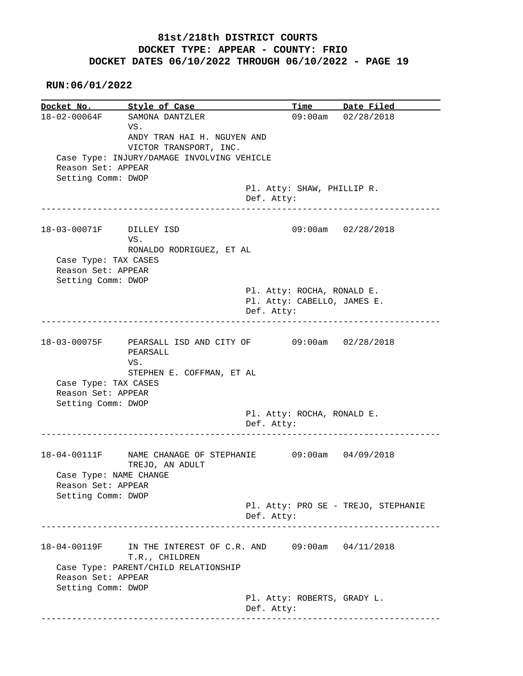**RUN:06/01/2022**

**Docket No.** Style of Case Time Date Filed 18-02-00064F SAMONA DANTZLER 09:00am 02/28/2018 VS. ANDY TRAN HAI H. NGUYEN AND VICTOR TRANSPORT, INC. Case Type: INJURY/DAMAGE INVOLVING VEHICLE Reason Set: APPEAR Setting Comm: DWOP Pl. Atty: SHAW, PHILLIP R. Def. Atty: ------------------------------------------------------------------------------ 18-03-00071F DILLEY ISD 09:00am 02/28/2018 VS. RONALDO RODRIGUEZ, ET AL Case Type: TAX CASES Reason Set: APPEAR Setting Comm: DWOP Pl. Atty: ROCHA, RONALD E. Pl. Atty: CABELLO, JAMES E. Def. Atty: ------------------------------------------------------------------------------ 18-03-00075F PEARSALL ISD AND CITY OF 09:00am 02/28/2018 PEARSALL VS. STEPHEN E. COFFMAN, ET AL Case Type: TAX CASES Reason Set: APPEAR Setting Comm: DWOP Pl. Atty: ROCHA, RONALD E. Def. Atty: ------------------------------------------------------------------------------ 18-04-00111F NAME CHANAGE OF STEPHANIE 09:00am 04/09/2018 TREJO, AN ADULT Case Type: NAME CHANGE Reason Set: APPEAR Setting Comm: DWOP Pl. Atty: PRO SE - TREJO, STEPHANIE Def. Atty: ------------------------------------------------------------------------------ 18-04-00119F IN THE INTEREST OF C.R. AND 09:00am 04/11/2018 T.R., CHILDREN Case Type: PARENT/CHILD RELATIONSHIP Reason Set: APPEAR Setting Comm: DWOP Pl. Atty: ROBERTS, GRADY L. Def. Atty: ------------------------------------------------------------------------------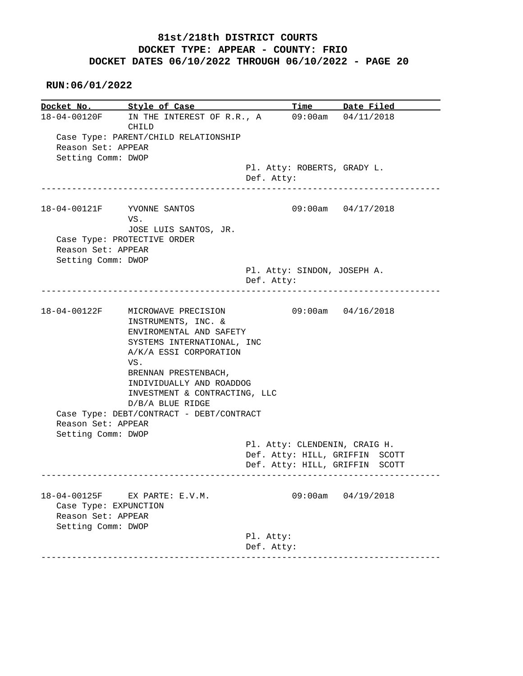|                                                             | Docket No. Style of Case                                                                                                                                          |                                           | Time Date Filed                                                  |
|-------------------------------------------------------------|-------------------------------------------------------------------------------------------------------------------------------------------------------------------|-------------------------------------------|------------------------------------------------------------------|
|                                                             | 18-04-00120F IN THE INTEREST OF R.R., A<br>CHILD                                                                                                                  |                                           | $09:00$ am $04/11/2018$                                          |
| Reason Set: APPEAR                                          | Case Type: PARENT/CHILD RELATIONSHIP                                                                                                                              |                                           |                                                                  |
| Setting Comm: DWOP                                          |                                                                                                                                                                   | Pl. Atty: ROBERTS, GRADY L.<br>Def. Atty: |                                                                  |
|                                                             | 18-04-00121F YVONNE SANTOS<br>VS.<br>JOSE LUIS SANTOS, JR.                                                                                                        |                                           | 09:00am 04/17/2018                                               |
| Reason Set: APPEAR                                          | Case Type: PROTECTIVE ORDER                                                                                                                                       |                                           |                                                                  |
| Setting Comm: DWOP                                          |                                                                                                                                                                   | Pl. Atty: SINDON, JOSEPH A.<br>Def. Atty: |                                                                  |
|                                                             | 18-04-00122F MICROWAVE PRECISION                                                                                                                                  |                                           | $09:00$ am $04/16/2018$                                          |
|                                                             | INSTRUMENTS, INC. &<br>ENVIROMENTAL AND SAFETY<br>SYSTEMS INTERNATIONAL, INC<br>A/K/A ESSI CORPORATION<br>VS.<br>BRENNAN PRESTENBACH,<br>INDIVIDUALLY AND ROADDOG |                                           |                                                                  |
|                                                             | INVESTMENT & CONTRACTING, LLC<br>$D/B/A$ BLUE RIDGE                                                                                                               |                                           |                                                                  |
| Reason Set: APPEAR<br>Setting Comm: DWOP                    | Case Type: DEBT/CONTRACT - DEBT/CONTRACT                                                                                                                          |                                           |                                                                  |
|                                                             |                                                                                                                                                                   | Pl. Atty: CLENDENIN, CRAIG H.             | Def. Atty: HILL, GRIFFIN SCOTT<br>Def. Atty: HILL, GRIFFIN SCOTT |
| 18-04-00125F<br>Case Type: EXPUNCTION<br>Reason Set: APPEAR | EX PARTE: E.V.M.                                                                                                                                                  | 09:00am                                   | 04/19/2018                                                       |
| Setting Comm: DWOP                                          |                                                                                                                                                                   | Pl. Atty:<br>Def. Atty:                   |                                                                  |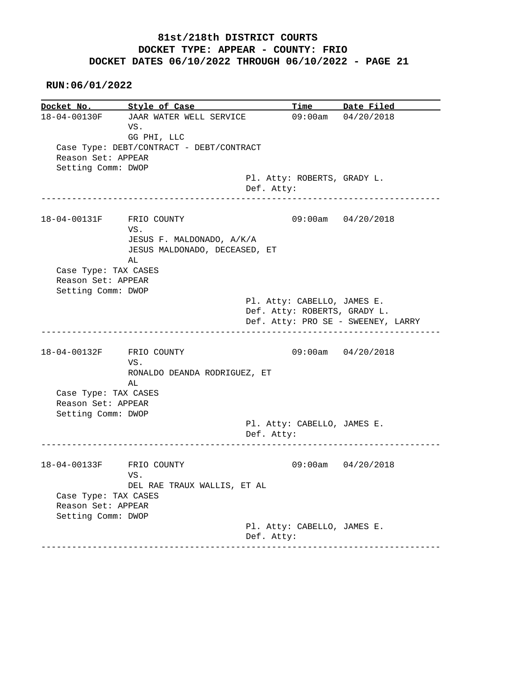**RUN:06/01/2022**

**Docket No. Style of Case Time Date Filed**  18-04-00130F JAAR WATER WELL SERVICE 09:00am 04/20/2018 VS. GG PHI, LLC Case Type: DEBT/CONTRACT - DEBT/CONTRACT Reason Set: APPEAR Setting Comm: DWOP Pl. Atty: ROBERTS, GRADY L. Def. Atty: ------------------------------------------------------------------------------ 18-04-00131F FRIO COUNTY 09:00am 04/20/2018 VS. JESUS F. MALDONADO, A/K/A JESUS MALDONADO, DECEASED, ET AL Case Type: TAX CASES Reason Set: APPEAR Setting Comm: DWOP Pl. Atty: CABELLO, JAMES E. Def. Atty: ROBERTS, GRADY L. Def. Atty: PRO SE - SWEENEY, LARRY ------------------------------------------------------------------------------ 18-04-00132F FRIO COUNTY 09:00am 04/20/2018 VS. RONALDO DEANDA RODRIGUEZ, ET AL Case Type: TAX CASES Reason Set: APPEAR Setting Comm: DWOP Pl. Atty: CABELLO, JAMES E. Def. Atty: ------------------------------------------------------------------------------ 18-04-00133F FRIO COUNTY 09:00am 04/20/2018 VS. DEL RAE TRAUX WALLIS, ET AL Case Type: TAX CASES Reason Set: APPEAR Setting Comm: DWOP Pl. Atty: CABELLO, JAMES E. Def. Atty: ------------------------------------------------------------------------------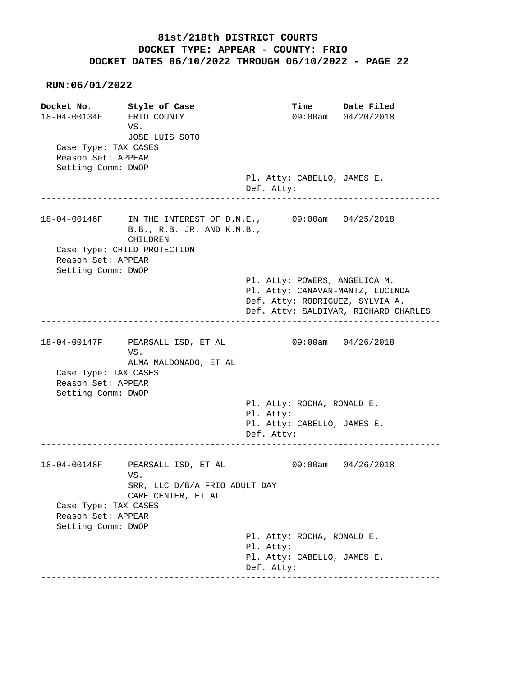|                          | Docket No. Style of Case                |                                           | Time Date Filed                      |
|--------------------------|-----------------------------------------|-------------------------------------------|--------------------------------------|
| 18-04-00134F FRIO COUNTY |                                         |                                           | $09:00am$ $04/20/2018$               |
|                          | VS.                                     |                                           |                                      |
|                          | JOSE LUIS SOTO                          |                                           |                                      |
| Case Type: TAX CASES     |                                         |                                           |                                      |
| Reason Set: APPEAR       |                                         |                                           |                                      |
| Setting Comm: DWOP       |                                         |                                           |                                      |
|                          |                                         | Pl. Atty: CABELLO, JAMES E.               |                                      |
|                          |                                         | Def. Atty:                                |                                      |
|                          | _____________________________           |                                           |                                      |
|                          | 18-04-00146F IN THE INTEREST OF D.M.E., | $09:00$ am $04/25/2018$                   |                                      |
|                          | B.B., R.B. JR. AND K.M.B.,<br>CHILDREN  |                                           |                                      |
|                          | Case Type: CHILD PROTECTION             |                                           |                                      |
| Reason Set: APPEAR       |                                         |                                           |                                      |
| Setting Comm: DWOP       |                                         |                                           |                                      |
|                          |                                         | Pl. Atty: POWERS, ANGELICA M.             |                                      |
|                          |                                         | Pl. Atty: CANAVAN-MANTZ, LUCINDA          |                                      |
|                          |                                         | Def. Atty: RODRIGUEZ, SYLVIA A.           |                                      |
|                          |                                         |                                           | Def. Atty: SALDIVAR, RICHARD CHARLES |
|                          |                                         |                                           |                                      |
|                          |                                         |                                           |                                      |
|                          | 18-04-00147F PEARSALL ISD, ET AL        |                                           | $09:00$ am $04/26/2018$              |
|                          | VS.<br>ALMA MALDONADO, ET AL            |                                           |                                      |
| Case Type: TAX CASES     |                                         |                                           |                                      |
| Reason Set: APPEAR       |                                         |                                           |                                      |
| Setting Comm: DWOP       |                                         |                                           |                                      |
|                          |                                         | Pl. Atty: ROCHA, RONALD E.                |                                      |
|                          |                                         | Pl. Atty:                                 |                                      |
|                          |                                         | Pl. Atty: CABELLO, JAMES E.               |                                      |
|                          |                                         | Def. Atty:                                |                                      |
|                          |                                         |                                           |                                      |
| 18-04-00148F             | PEARSALL ISD, ET AL                     |                                           | $09:00am$ $04/26/2018$               |
|                          | VS.                                     |                                           |                                      |
|                          | SRR, LLC D/B/A FRIO ADULT DAY           |                                           |                                      |
|                          | CARE CENTER, ET AL                      |                                           |                                      |
| Case Type: TAX CASES     |                                         |                                           |                                      |
| Reason Set: APPEAR       |                                         |                                           |                                      |
|                          |                                         |                                           |                                      |
|                          |                                         |                                           |                                      |
| Setting Comm: DWOP       |                                         |                                           |                                      |
|                          |                                         | Pl. Atty: ROCHA, RONALD E.                |                                      |
|                          |                                         | Pl. Atty:                                 |                                      |
|                          |                                         | Pl. Atty: CABELLO, JAMES E.<br>Def. Atty: |                                      |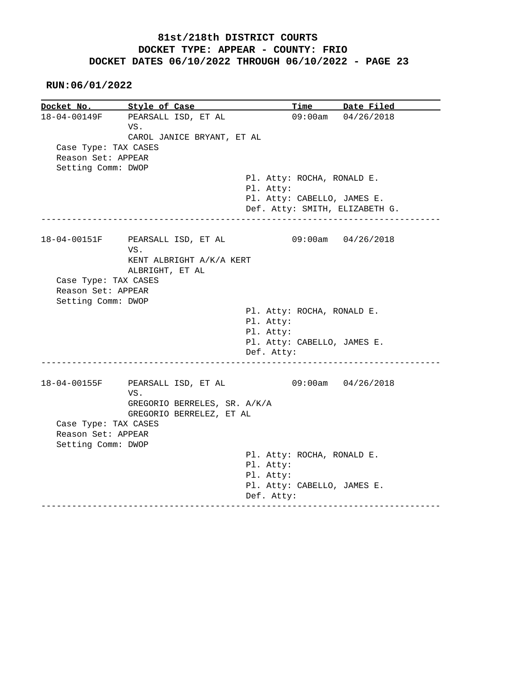**RUN:06/01/2022**

**Docket No. Style of Case Time Date Filed**  18-04-00149F PEARSALL ISD, ET AL 09:00am 04/26/2018 VS. CAROL JANICE BRYANT, ET AL Case Type: TAX CASES Reason Set: APPEAR Setting Comm: DWOP Pl. Atty: ROCHA, RONALD E. Pl. Atty: Pl. Atty: CABELLO, JAMES E. Def. Atty: SMITH, ELIZABETH G. ------------------------------------------------------------------------------ 18-04-00151F PEARSALL ISD, ET AL 09:00am 04/26/2018 VS. KENT ALBRIGHT A/K/A KERT ALBRIGHT, ET AL Case Type: TAX CASES Reason Set: APPEAR Setting Comm: DWOP Pl. Atty: ROCHA, RONALD E. Pl. Atty: Pl. Atty: Pl. Atty: CABELLO, JAMES E. Def. Atty: ------------------------------------------------------------------------------ 18-04-00155F PEARSALL ISD, ET AL 09:00am 04/26/2018 VS. GREGORIO BERRELES, SR. A/K/A GREGORIO BERRELEZ, ET AL Case Type: TAX CASES Reason Set: APPEAR Setting Comm: DWOP Pl. Atty: ROCHA, RONALD E. Pl. Atty: Pl. Atty: Pl. Atty: CABELLO, JAMES E. Def. Atty: ------------------------------------------------------------------------------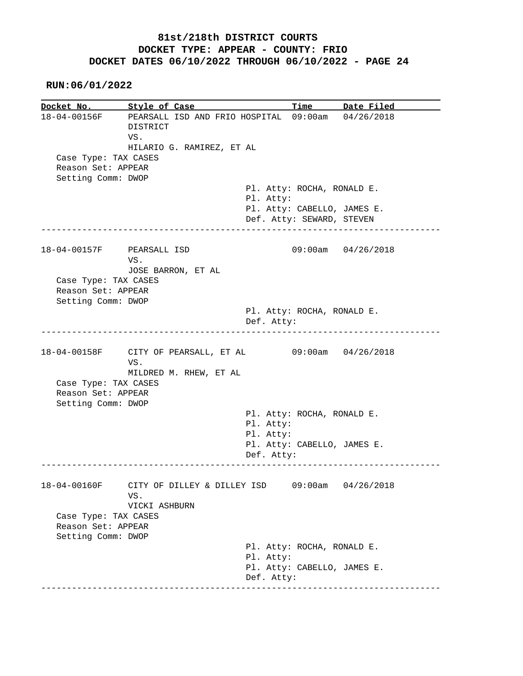**RUN:06/01/2022**

**Docket No. Style of Case Time Date Filed**  18-04-00156F PEARSALL ISD AND FRIO HOSPITAL 09:00am 04/26/2018 DISTRICT VS. HILARIO G. RAMIREZ, ET AL Case Type: TAX CASES Reason Set: APPEAR Setting Comm: DWOP Pl. Atty: ROCHA, RONALD E. Pl. Atty: Pl. Atty: CABELLO, JAMES E. Def. Atty: SEWARD, STEVEN ------------------------------------------------------------------------------ 18-04-00157F PEARSALL ISD 09:00am 04/26/2018 VS. JOSE BARRON, ET AL Case Type: TAX CASES Reason Set: APPEAR Setting Comm: DWOP Pl. Atty: ROCHA, RONALD E. Def. Atty: ------------------------------------------------------------------------------ 18-04-00158F CITY OF PEARSALL, ET AL 09:00am 04/26/2018 VS. MILDRED M. RHEW, ET AL Case Type: TAX CASES Reason Set: APPEAR Setting Comm: DWOP Pl. Atty: ROCHA, RONALD E. Pl. Atty: Pl. Atty: Pl. Atty: CABELLO, JAMES E. Def. Atty: ------------------------------------------------------------------------------ 18-04-00160F CITY OF DILLEY & DILLEY ISD 09:00am 04/26/2018 VS. VICKI ASHBURN Case Type: TAX CASES Reason Set: APPEAR Setting Comm: DWOP Pl. Atty: ROCHA, RONALD E. Pl. Atty: Pl. Atty: CABELLO, JAMES E. Def. Atty: ------------------------------------------------------------------------------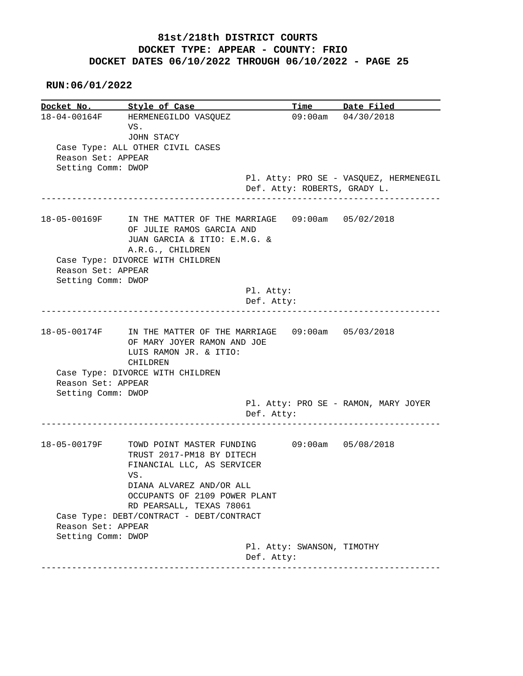|                    | Docket No. Style of Case                                                          |            |                              | <u>Time Date Filed</u>                 |
|--------------------|-----------------------------------------------------------------------------------|------------|------------------------------|----------------------------------------|
|                    | 18-04-00164F HERMENEGILDO VASQUEZ                                                 |            |                              | 09:00am 04/30/2018                     |
|                    | VS.                                                                               |            |                              |                                        |
|                    | JOHN STACY                                                                        |            |                              |                                        |
|                    | Case Type: ALL OTHER CIVIL CASES                                                  |            |                              |                                        |
| Reason Set: APPEAR |                                                                                   |            |                              |                                        |
| Setting Comm: DWOP |                                                                                   |            |                              |                                        |
|                    |                                                                                   |            |                              | Pl. Atty: PRO SE - VASQUEZ, HERMENEGIL |
|                    |                                                                                   |            | Def. Atty: ROBERTS, GRADY L. |                                        |
|                    |                                                                                   |            | --------------------------   |                                        |
|                    |                                                                                   |            |                              |                                        |
| 18-05-00169F       | IN THE MATTER OF THE MARRIAGE 09:00am 05/02/2018                                  |            |                              |                                        |
|                    | OF JULIE RAMOS GARCIA AND                                                         |            |                              |                                        |
|                    | JUAN GARCIA & ITIO: E.M.G. &                                                      |            |                              |                                        |
|                    | A.R.G., CHILDREN                                                                  |            |                              |                                        |
|                    | Case Type: DIVORCE WITH CHILDREN                                                  |            |                              |                                        |
| Reason Set: APPEAR |                                                                                   |            |                              |                                        |
| Setting Comm: DWOP |                                                                                   |            |                              |                                        |
|                    |                                                                                   | Pl. Atty:  |                              |                                        |
|                    |                                                                                   | Def. Atty: |                              |                                        |
|                    |                                                                                   |            |                              |                                        |
| 18-05-00174F       | IN THE MATTER OF THE MARRIAGE  09:00am  05/03/2018<br>OF MARY JOYER RAMON AND JOE |            |                              |                                        |
| Reason Set: APPEAR | LUIS RAMON JR. & ITIO:<br>CHILDREN<br>Case Type: DIVORCE WITH CHILDREN            |            |                              |                                        |
| Setting Comm: DWOP |                                                                                   |            |                              |                                        |
|                    |                                                                                   | Def. Atty: |                              | Pl. Atty: PRO SE - RAMON, MARY JOYER   |
| 18-05-00179F       | TOWD POINT MASTER FUNDING                                                         |            |                              | 09:00am 05/08/2018                     |
|                    | TRUST 2017-PM18 BY DITECH                                                         |            |                              |                                        |
|                    | FINANCIAL LLC, AS SERVICER                                                        |            |                              |                                        |
|                    | VS.                                                                               |            |                              |                                        |
|                    |                                                                                   |            |                              |                                        |
|                    | DIANA ALVAREZ AND/OR ALL                                                          |            |                              |                                        |
|                    | OCCUPANTS OF 2109 POWER PLANT                                                     |            |                              |                                        |
|                    | RD PEARSALL, TEXAS 78061                                                          |            |                              |                                        |
|                    | Case Type: DEBT/CONTRACT - DEBT/CONTRACT                                          |            |                              |                                        |
| Reason Set: APPEAR |                                                                                   |            |                              |                                        |
| Setting Comm: DWOP |                                                                                   |            |                              |                                        |
|                    |                                                                                   |            | Pl. Atty: SWANSON, TIMOTHY   |                                        |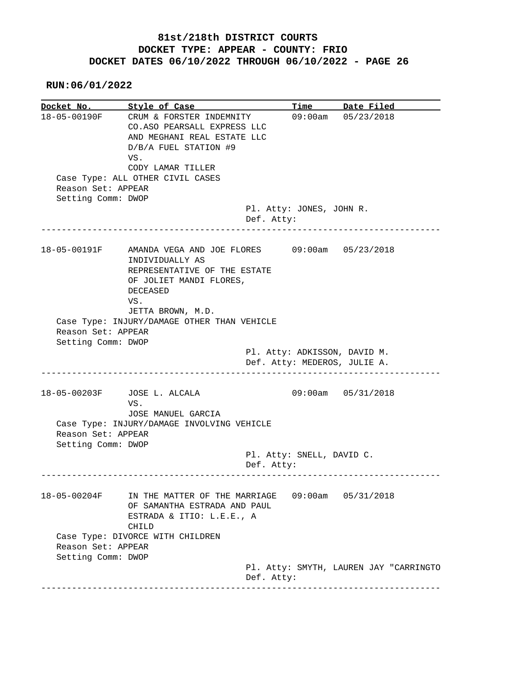| Docket No. Style of Case                 |                                                                                                                             | Time                                                                                             | Date Filed              |
|------------------------------------------|-----------------------------------------------------------------------------------------------------------------------------|--------------------------------------------------------------------------------------------------|-------------------------|
| 18-05-00190F                             | CRUM & FORSTER INDEMNITY<br>CO.ASO PEARSALL EXPRESS LLC<br>AND MEGHANI REAL ESTATE LLC<br>D/B/A FUEL STATION #9<br>VS.      |                                                                                                  | $09:00am$ $05/23/2018$  |
|                                          | CODY LAMAR TILLER                                                                                                           |                                                                                                  |                         |
| Reason Set: APPEAR                       | Case Type: ALL OTHER CIVIL CASES                                                                                            |                                                                                                  |                         |
| Setting Comm: DWOP                       |                                                                                                                             |                                                                                                  |                         |
|                                          | Def. Atty:                                                                                                                  | Pl. Atty: JONES, JOHN R.                                                                         |                         |
| 18-05-00191F                             | AMANDA VEGA AND JOE FLORES 09:00am 05/23/2018<br>INDIVIDUALLY AS<br>REPRESENTATIVE OF THE ESTATE<br>OF JOLIET MANDI FLORES, |                                                                                                  |                         |
|                                          | <b>DECEASED</b><br>VS.                                                                                                      |                                                                                                  |                         |
| Reason Set: APPEAR<br>Setting Comm: DWOP | JETTA BROWN, M.D.<br>Case Type: INJURY/DAMAGE OTHER THAN VEHICLE                                                            |                                                                                                  |                         |
|                                          |                                                                                                                             | Pl. Atty: ADKISSON, DAVID M.<br>Def. Atty: MEDEROS, JULIE A.<br>-------------------------------- |                         |
| 18-05-00203F                             | JOSE L. ALCALA<br>VS.                                                                                                       |                                                                                                  | $09:00am$ $05/31/2018$  |
| Reason Set: APPEAR<br>Setting Comm: DWOP | JOSE MANUEL GARCIA<br>Case Type: INJURY/DAMAGE INVOLVING VEHICLE                                                            |                                                                                                  |                         |
|                                          | Def. Atty:                                                                                                                  | Pl. Atty: SNELL, DAVID C.                                                                        |                         |
| 18-05-00204F                             | IN THE MATTER OF THE MARRIAGE<br>OF SAMANTHA ESTRADA AND PAUL<br>ESTRADA & ITIO: L.E.E., A<br>CHILD                         |                                                                                                  | $09:00$ am $05/31/2018$ |
| Reason Set: APPEAR                       | Case Type: DIVORCE WITH CHILDREN                                                                                            |                                                                                                  |                         |
| Setting Comm: DWOP                       |                                                                                                                             |                                                                                                  |                         |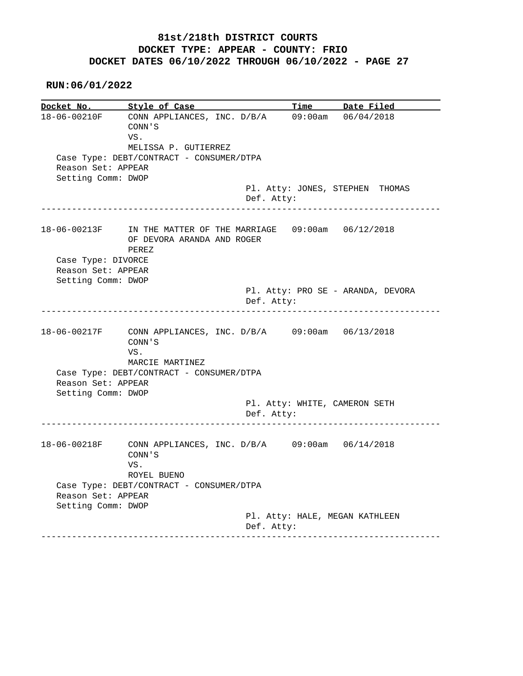**RUN:06/01/2022**

**Docket No.** Style of Case Time Date Filed 18-06-00210F CONN APPLIANCES, INC. D/B/A 09:00am 06/04/2018 CONN'S VS. MELISSA P. GUTIERREZ Case Type: DEBT/CONTRACT - CONSUMER/DTPA Reason Set: APPEAR Setting Comm: DWOP Pl. Atty: JONES, STEPHEN THOMAS Def. Atty: ------------------------------------------------------------------------------ 18-06-00213F IN THE MATTER OF THE MARRIAGE 09:00am 06/12/2018 OF DEVORA ARANDA AND ROGER PEREZ Case Type: DIVORCE Reason Set: APPEAR Setting Comm: DWOP Pl. Atty: PRO SE - ARANDA, DEVORA Def. Atty: ------------------------------------------------------------------------------ 18-06-00217F CONN APPLIANCES, INC. D/B/A 09:00am 06/13/2018 CONN'S VS. MARCIE MARTINEZ Case Type: DEBT/CONTRACT - CONSUMER/DTPA Reason Set: APPEAR Setting Comm: DWOP Pl. Atty: WHITE, CAMERON SETH Def. Atty: ------------------------------------------------------------------------------ 18-06-00218F CONN APPLIANCES, INC. D/B/A 09:00am 06/14/2018 CONN'S VS. ROYEL BUENO Case Type: DEBT/CONTRACT - CONSUMER/DTPA Reason Set: APPEAR Setting Comm: DWOP Pl. Atty: HALE, MEGAN KATHLEEN Def. Atty: ------------------------------------------------------------------------------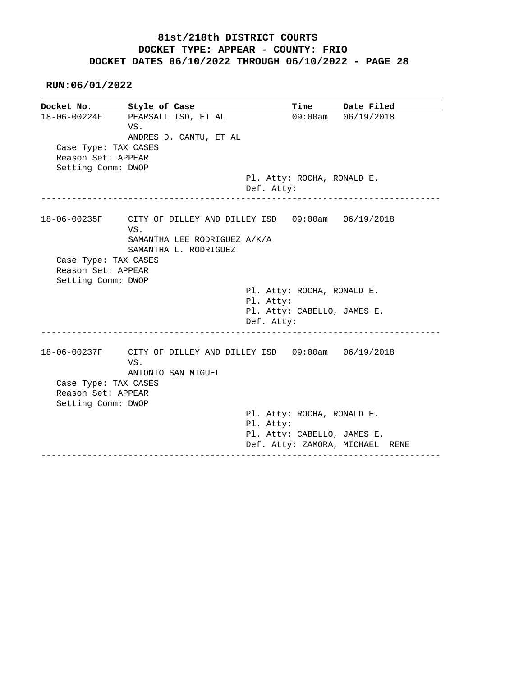**RUN:06/01/2022**

**Docket No. Style of Case Time Date Filed**  18-06-00224F PEARSALL ISD, ET AL 09:00am 06/19/2018 VS. ANDRES D. CANTU, ET AL Case Type: TAX CASES Reason Set: APPEAR Setting Comm: DWOP Pl. Atty: ROCHA, RONALD E. Def. Atty: ------------------------------------------------------------------------------ 18-06-00235F CITY OF DILLEY AND DILLEY ISD 09:00am 06/19/2018 VS. SAMANTHA LEE RODRIGUEZ A/K/A SAMANTHA L. RODRIGUEZ Case Type: TAX CASES Reason Set: APPEAR Setting Comm: DWOP Pl. Atty: ROCHA, RONALD E. Pl. Atty: Pl. Atty: CABELLO, JAMES E. Def. Atty: ------------------------------------------------------------------------------ 18-06-00237F CITY OF DILLEY AND DILLEY ISD 09:00am 06/19/2018 VS. ANTONIO SAN MIGUEL Case Type: TAX CASES Reason Set: APPEAR Setting Comm: DWOP Pl. Atty: ROCHA, RONALD E. Pl. Atty: Pl. Atty: CABELLO, JAMES E. Def. Atty: ZAMORA, MICHAEL RENE ------------------------------------------------------------------------------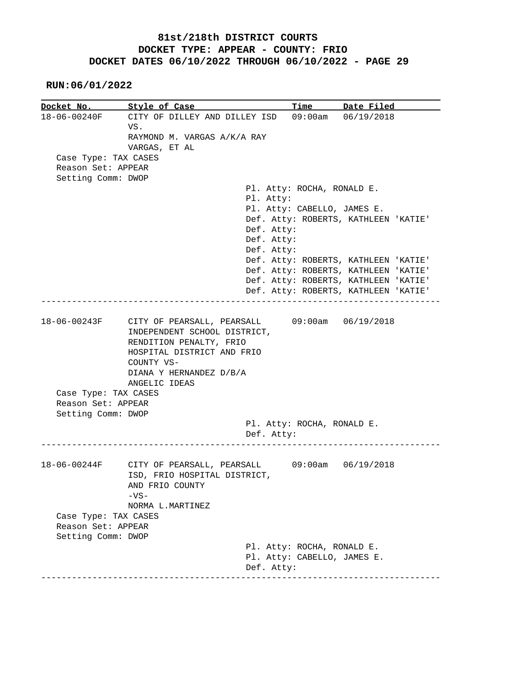| Docket No. Style of Case                                         |                                                                                                                                                                   |                             | Time Date Filed                                                              |
|------------------------------------------------------------------|-------------------------------------------------------------------------------------------------------------------------------------------------------------------|-----------------------------|------------------------------------------------------------------------------|
|                                                                  | 18-06-00240F CITY OF DILLEY AND DILLEY ISD 09:00am 06/19/2018                                                                                                     |                             |                                                                              |
|                                                                  | VS.                                                                                                                                                               |                             |                                                                              |
|                                                                  | RAYMOND M. VARGAS A/K/A RAY                                                                                                                                       |                             |                                                                              |
|                                                                  | VARGAS, ET AL                                                                                                                                                     |                             |                                                                              |
| Case Type: TAX CASES                                             |                                                                                                                                                                   |                             |                                                                              |
| Reason Set: APPEAR                                               |                                                                                                                                                                   |                             |                                                                              |
| Setting Comm: DWOP                                               |                                                                                                                                                                   |                             |                                                                              |
|                                                                  |                                                                                                                                                                   | Pl. Atty: ROCHA, RONALD E.  |                                                                              |
|                                                                  | Pl. Atty:                                                                                                                                                         |                             |                                                                              |
|                                                                  |                                                                                                                                                                   | Pl. Atty: CABELLO, JAMES E. |                                                                              |
|                                                                  |                                                                                                                                                                   |                             | Def. Atty: ROBERTS, KATHLEEN 'KATIE'                                         |
|                                                                  | Def. Atty:                                                                                                                                                        |                             |                                                                              |
|                                                                  | Def. Atty:                                                                                                                                                        |                             |                                                                              |
|                                                                  | Def. Atty:                                                                                                                                                        |                             |                                                                              |
|                                                                  |                                                                                                                                                                   |                             | Def. Atty: ROBERTS, KATHLEEN 'KATIE'<br>Def. Atty: ROBERTS, KATHLEEN 'KATIE' |
|                                                                  |                                                                                                                                                                   |                             |                                                                              |
|                                                                  |                                                                                                                                                                   |                             | Def. Atty: ROBERTS, KATHLEEN 'KATIE'                                         |
|                                                                  |                                                                                                                                                                   |                             | Def. Atty: ROBERTS, KATHLEEN 'KATIE'                                         |
|                                                                  | 18-06-00243F CITY OF PEARSALL, PEARSALL 09:00am 06/19/2018<br>INDEPENDENT SCHOOL DISTRICT,<br>RENDITION PENALTY, FRIO<br>HOSPITAL DISTRICT AND FRIO<br>COUNTY VS- |                             |                                                                              |
| Case Type: TAX CASES<br>Reason Set: APPEAR<br>Setting Comm: DWOP | DIANA Y HERNANDEZ D/B/A<br>ANGELIC IDEAS                                                                                                                          | Pl. Atty: ROCHA, RONALD E.  |                                                                              |
|                                                                  | Def. Atty:                                                                                                                                                        |                             |                                                                              |
|                                                                  | 18-06-00244F CITY OF PEARSALL, PEARSALL 09:00am 06/19/2018<br>ISD, FRIO HOSPITAL DISTRICT,<br>AND FRIO COUNTY<br>$-VS-$<br>NORMA L.MARTINEZ                       |                             |                                                                              |
| Case Type: TAX CASES                                             |                                                                                                                                                                   |                             |                                                                              |
| Reason Set: APPEAR                                               |                                                                                                                                                                   |                             |                                                                              |
| Setting Comm: DWOP                                               |                                                                                                                                                                   |                             |                                                                              |
|                                                                  |                                                                                                                                                                   | Pl. Atty: ROCHA, RONALD E.  |                                                                              |
|                                                                  | Def. Atty:                                                                                                                                                        | Pl. Atty: CABELLO, JAMES E. |                                                                              |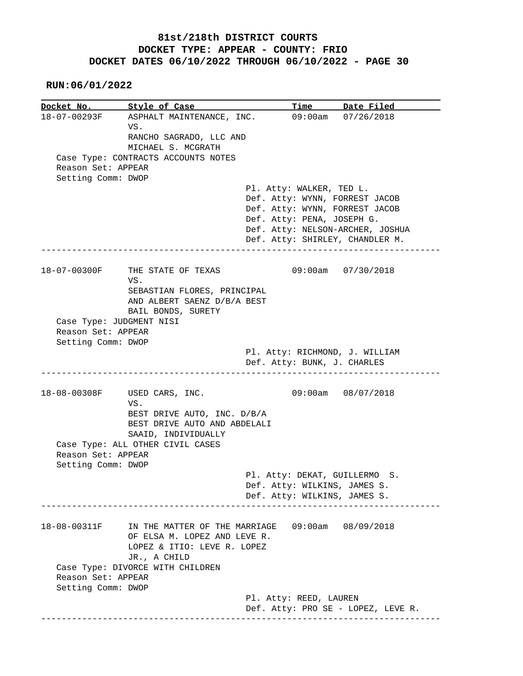|                    | Docket No. Style of Case               | Time Date Filed                                              |
|--------------------|----------------------------------------|--------------------------------------------------------------|
|                    | 18-07-00293F ASPHALT MAINTENANCE, INC. | 09:00am 07/26/2018                                           |
|                    | VS.                                    |                                                              |
|                    | RANCHO SAGRADO, LLC AND                |                                                              |
|                    | MICHAEL S. MCGRATH                     |                                                              |
|                    | Case Type: CONTRACTS ACCOUNTS NOTES    |                                                              |
| Reason Set: APPEAR |                                        |                                                              |
| Setting Comm: DWOP |                                        |                                                              |
|                    |                                        | Pl. Atty: WALKER, TED L.                                     |
|                    |                                        | Def. Atty: WYNN, FORREST JACOB                               |
|                    |                                        | Def. Atty: WYNN, FORREST JACOB                               |
|                    |                                        | Def. Atty: PENA, JOSEPH G.                                   |
|                    |                                        | Def. Atty: NELSON-ARCHER, JOSHUA                             |
|                    |                                        | Def. Atty: SHIRLEY, CHANDLER M.                              |
|                    |                                        |                                                              |
| 18-07-00300F       | THE STATE OF TEXAS<br>VS.              | $09:00$ am $07/30/2018$                                      |
|                    | SEBASTIAN FLORES, PRINCIPAL            |                                                              |
|                    | AND ALBERT SAENZ D/B/A BEST            |                                                              |
|                    | BAIL BONDS, SURETY                     |                                                              |
|                    | Case Type: JUDGMENT NISI               |                                                              |
| Reason Set: APPEAR |                                        |                                                              |
| Setting Comm: DWOP |                                        |                                                              |
|                    |                                        | Pl. Atty: RICHMOND, J. WILLIAM                               |
|                    |                                        | Def. Atty: BUNK, J. CHARLES                                  |
|                    |                                        |                                                              |
|                    | 18-08-00308F USED CARS, INC.           | 09:00am 08/07/2018                                           |
|                    | VS.                                    |                                                              |
|                    | BEST DRIVE AUTO, INC. D/B/A            |                                                              |
|                    | BEST DRIVE AUTO AND ABDELALI           |                                                              |
|                    | SAAID, INDIVIDUALLY                    |                                                              |
|                    | Case Type: ALL OTHER CIVIL CASES       |                                                              |
| Reason Set: APPEAR |                                        |                                                              |
| Setting Comm: DWOP |                                        |                                                              |
|                    |                                        | Pl. Atty: DEKAT, GUILLERMO S.                                |
|                    |                                        | Def. Atty: WILKINS, JAMES S.                                 |
|                    |                                        | Def. Atty: WILKINS, JAMES S.                                 |
|                    |                                        |                                                              |
|                    |                                        |                                                              |
| 18-08-00311F       | IN THE MATTER OF THE MARRIAGE          | 09:00am 08/09/2018                                           |
|                    | OF ELSA M. LOPEZ AND LEVE R.           |                                                              |
|                    | LOPEZ & ITIO: LEVE R. LOPEZ            |                                                              |
|                    | JR., A CHILD                           |                                                              |
|                    | Case Type: DIVORCE WITH CHILDREN       |                                                              |
| Reason Set: APPEAR |                                        |                                                              |
| Setting Comm: DWOP |                                        |                                                              |
|                    |                                        | Pl. Atty: REED, LAUREN<br>Def. Atty: PRO SE - LOPEZ, LEVE R. |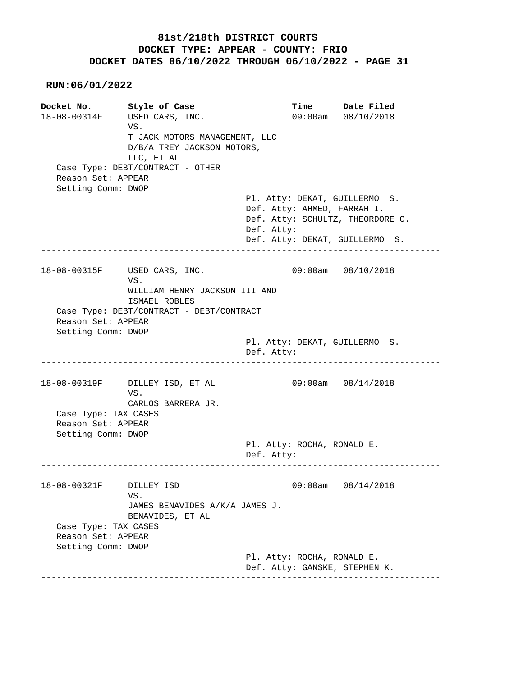**RUN:06/01/2022**

**Docket No.** Style of Case **Time** Date Filed 18-08-00314F USED CARS, INC. 09:00am 08/10/2018 VS. T JACK MOTORS MANAGEMENT, LLC D/B/A TREY JACKSON MOTORS, LLC, ET AL Case Type: DEBT/CONTRACT - OTHER Reason Set: APPEAR Setting Comm: DWOP Pl. Atty: DEKAT, GUILLERMO S. Def. Atty: AHMED, FARRAH I. Def. Atty: SCHULTZ, THEORDORE C. Def. Atty: Def. Atty: DEKAT, GUILLERMO S. ------------------------------------------------------------------------------ 18-08-00315F USED CARS, INC. 09:00am 08/10/2018 VS. WILLIAM HENRY JACKSON III AND ISMAEL ROBLES Case Type: DEBT/CONTRACT - DEBT/CONTRACT Reason Set: APPEAR Setting Comm: DWOP Pl. Atty: DEKAT, GUILLERMO S. Def. Atty: ------------------------------------------------------------------------------ 18-08-00319F DILLEY ISD, ET AL 09:00am 08/14/2018 VS. CARLOS BARRERA JR. Case Type: TAX CASES Reason Set: APPEAR Setting Comm: DWOP Pl. Atty: ROCHA, RONALD E. Def. Atty: ------------------------------------------------------------------------------ 18-08-00321F DILLEY ISD 09:00am 08/14/2018 VS. JAMES BENAVIDES A/K/A JAMES J. BENAVIDES, ET AL Case Type: TAX CASES Reason Set: APPEAR Setting Comm: DWOP Pl. Atty: ROCHA, RONALD E. Def. Atty: GANSKE, STEPHEN K. ------------------------------------------------------------------------------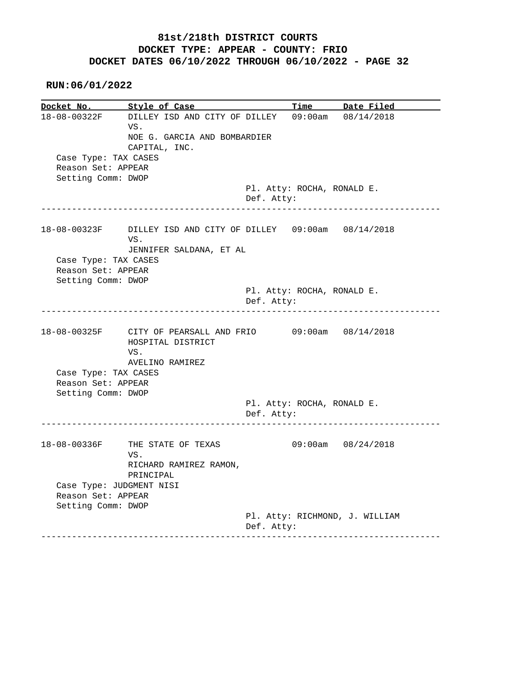| Docket No.                                     | Style of Case                                                                                            |            | <b>Time</b>                | Date Filed         |
|------------------------------------------------|----------------------------------------------------------------------------------------------------------|------------|----------------------------|--------------------|
|                                                | 18-08-00322F DILLEY ISD AND CITY OF DILLEY 09:00am 08/14/2018<br>VS.<br>NOE G. GARCIA AND BOMBARDIER     |            |                            |                    |
| Case Type: TAX CASES<br>Reason Set: APPEAR     | CAPITAL, INC.                                                                                            |            |                            |                    |
| Setting Comm: DWOP                             |                                                                                                          |            |                            |                    |
|                                                |                                                                                                          | Def. Atty: | Pl. Atty: ROCHA, RONALD E. |                    |
|                                                | 18-08-00323F DILLEY ISD AND CITY OF DILLEY 09:00am 08/14/2018<br>VS.<br>JENNIFER SALDANA, ET AL          |            |                            |                    |
| Case Type: TAX CASES                           |                                                                                                          |            |                            |                    |
| Reason Set: APPEAR                             |                                                                                                          |            |                            |                    |
| Setting Comm: DWOP                             |                                                                                                          |            |                            |                    |
|                                                |                                                                                                          | Def. Atty: | Pl. Atty: ROCHA, RONALD E. |                    |
|                                                |                                                                                                          |            |                            |                    |
|                                                | 18-08-00325F CITY OF PEARSALL AND FRIO 09:00am 08/14/2018<br>HOSPITAL DISTRICT<br>VS.<br>AVELINO RAMIREZ |            |                            |                    |
| Case Type: TAX CASES                           |                                                                                                          |            |                            |                    |
| Reason Set: APPEAR                             |                                                                                                          |            |                            |                    |
| Setting Comm: DWOP                             |                                                                                                          |            |                            |                    |
|                                                |                                                                                                          | Def. Atty: | Pl. Atty: ROCHA, RONALD E. |                    |
|                                                | 18-08-00336F THE STATE OF TEXAS<br>VS.<br>RICHARD RAMIREZ RAMON,                                         |            |                            | 09:00am 08/24/2018 |
|                                                | PRINCIPAL                                                                                                |            |                            |                    |
| Case Type: JUDGMENT NISI<br>Reason Set: APPEAR |                                                                                                          |            |                            |                    |
| Setting Comm: DWOP                             |                                                                                                          |            |                            |                    |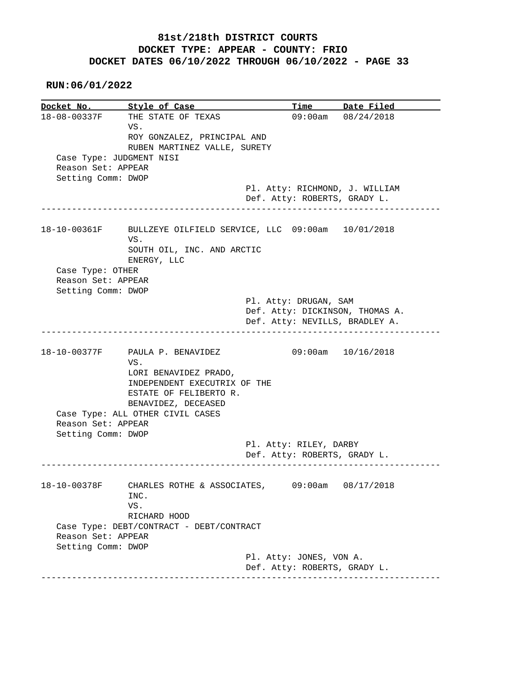**RUN:06/01/2022**

**Docket No. Style of Case Time Date Filed**  18-08-00337F THE STATE OF TEXAS 09:00am 08/24/2018 VS. ROY GONZALEZ, PRINCIPAL AND RUBEN MARTINEZ VALLE, SURETY Case Type: JUDGMENT NISI Reason Set: APPEAR Setting Comm: DWOP Pl. Atty: RICHMOND, J. WILLIAM Def. Atty: ROBERTS, GRADY L. ------------------------------------------------------------------------------ 18-10-00361F BULLZEYE OILFIELD SERVICE, LLC 09:00am 10/01/2018 VS. SOUTH OIL, INC. AND ARCTIC ENERGY, LLC Case Type: OTHER Reason Set: APPEAR Setting Comm: DWOP Pl. Atty: DRUGAN, SAM Def. Atty: DICKINSON, THOMAS A. Def. Atty: NEVILLS, BRADLEY A. ------------------------------------------------------------------------------ 18-10-00377F PAULA P. BENAVIDEZ 09:00am 10/16/2018 VS. LORI BENAVIDEZ PRADO, INDEPENDENT EXECUTRIX OF THE ESTATE OF FELIBERTO R. BENAVIDEZ, DECEASED Case Type: ALL OTHER CIVIL CASES Reason Set: APPEAR Setting Comm: DWOP Pl. Atty: RILEY, DARBY Def. Atty: ROBERTS, GRADY L. ------------------------------------------------------------------------------ 18-10-00378F CHARLES ROTHE & ASSOCIATES, 09:00am 08/17/2018 INC. VS. RICHARD HOOD Case Type: DEBT/CONTRACT - DEBT/CONTRACT Reason Set: APPEAR Setting Comm: DWOP Pl. Atty: JONES, VON A. Def. Atty: ROBERTS, GRADY L. ------------------------------------------------------------------------------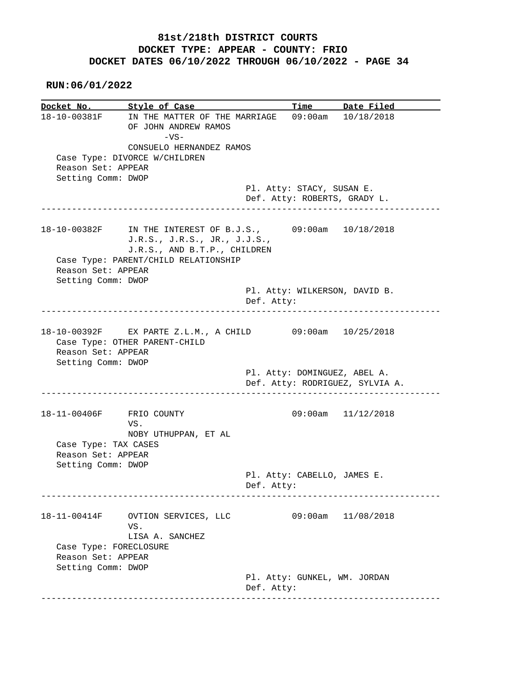**RUN:06/01/2022**

**Docket No. Style of Case Time Date Filed**<br>18-10-00381F IN THE MATTER OF THE MARRIAGE 09:00am 10/18/2018 IN THE MATTER OF THE MARRIAGE 09:00am 10/18/2018 OF JOHN ANDREW RAMOS  $-VS-$  CONSUELO HERNANDEZ RAMOS Case Type: DIVORCE W/CHILDREN Reason Set: APPEAR Setting Comm: DWOP Pl. Atty: STACY, SUSAN E. Def. Atty: ROBERTS, GRADY L. ------------------------------------------------------------------------------ 18-10-00382F IN THE INTEREST OF B.J.S., 09:00am 10/18/2018 J.R.S., J.R.S., JR., J.J.S., J.R.S., AND B.T.P., CHILDREN Case Type: PARENT/CHILD RELATIONSHIP Reason Set: APPEAR Setting Comm: DWOP Pl. Atty: WILKERSON, DAVID B. Def. Atty: ------------------------------------------------------------------------------ 18-10-00392F EX PARTE Z.L.M., A CHILD 09:00am 10/25/2018 Case Type: OTHER PARENT-CHILD Reason Set: APPEAR Setting Comm: DWOP Pl. Atty: DOMINGUEZ, ABEL A. Def. Atty: RODRIGUEZ, SYLVIA A. ------------------------------------------------------------------------------ 18-11-00406F FRIO COUNTY 09:00am 11/12/2018 VS. NOBY UTHUPPAN, ET AL Case Type: TAX CASES Reason Set: APPEAR Setting Comm: DWOP Pl. Atty: CABELLO, JAMES E. Def. Atty: ------------------------------------------------------------------------------ 18-11-00414F OVTION SERVICES, LLC 09:00am 11/08/2018 VS. LISA A. SANCHEZ Case Type: FORECLOSURE Reason Set: APPEAR Setting Comm: DWOP Pl. Atty: GUNKEL, WM. JORDAN Def. Atty: ------------------------------------------------------------------------------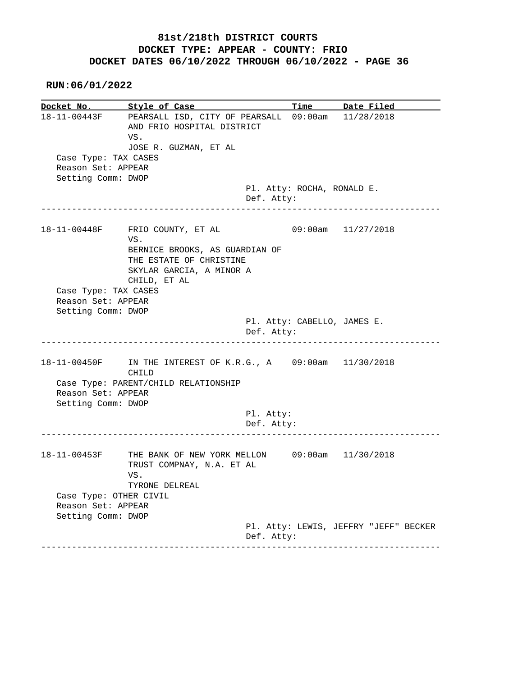**RUN:06/01/2022**

**Docket No.** Style of Case Time Date Filed 18-11-00443F PEARSALL ISD, CITY OF PEARSALL 09:00am 11/28/2018 AND FRIO HOSPITAL DISTRICT VS. JOSE R. GUZMAN, ET AL Case Type: TAX CASES Reason Set: APPEAR Setting Comm: DWOP Pl. Atty: ROCHA, RONALD E. Def. Atty: ------------------------------------------------------------------------------ 18-11-00448F FRIO COUNTY, ET AL 09:00am 11/27/2018 VS. BERNICE BROOKS, AS GUARDIAN OF THE ESTATE OF CHRISTINE SKYLAR GARCIA, A MINOR A CHILD, ET AL Case Type: TAX CASES Reason Set: APPEAR Setting Comm: DWOP Pl. Atty: CABELLO, JAMES E. Def. Atty: ------------------------------------------------------------------------------ 18-11-00450F IN THE INTEREST OF K.R.G., A 09:00am 11/30/2018 CHILD Case Type: PARENT/CHILD RELATIONSHIP Reason Set: APPEAR Setting Comm: DWOP Pl. Atty: Def. Atty: ------------------------------------------------------------------------------ 18-11-00453F THE BANK OF NEW YORK MELLON 09:00am 11/30/2018 TRUST COMPNAY, N.A. ET AL VS. TYRONE DELREAL Case Type: OTHER CIVIL Reason Set: APPEAR Setting Comm: DWOP Pl. Atty: LEWIS, JEFFRY "JEFF" BECKER Def. Atty: ------------------------------------------------------------------------------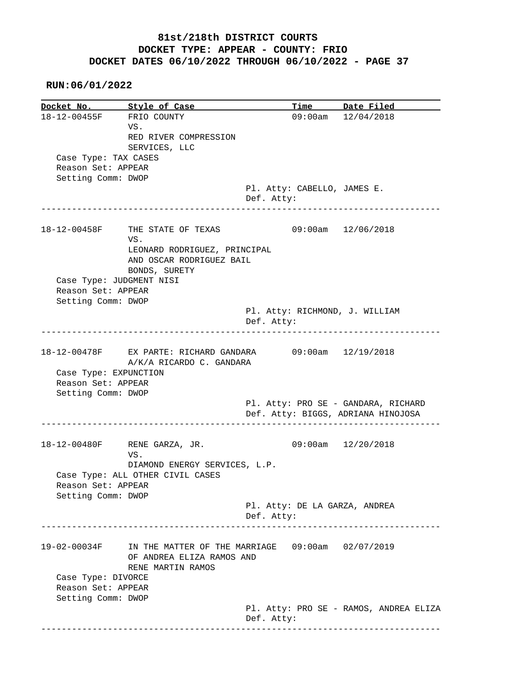|                                             | Docket No. Style of Case                                                      |                               | Time Date Filed                        |
|---------------------------------------------|-------------------------------------------------------------------------------|-------------------------------|----------------------------------------|
| 18-12-00455F FRIO COUNTY                    |                                                                               |                               | $09:00am$ $12/04/2018$                 |
|                                             | VS.                                                                           |                               |                                        |
|                                             | RED RIVER COMPRESSION                                                         |                               |                                        |
|                                             | SERVICES, LLC                                                                 |                               |                                        |
| Case Type: TAX CASES                        |                                                                               |                               |                                        |
| Reason Set: APPEAR                          |                                                                               |                               |                                        |
| Setting Comm: DWOP                          |                                                                               |                               |                                        |
|                                             |                                                                               | Pl. Atty: CABELLO, JAMES E.   |                                        |
|                                             |                                                                               | Def. Atty:                    |                                        |
|                                             |                                                                               |                               |                                        |
|                                             | 18-12-00458F THE STATE OF TEXAS                                               |                               | 09:00am 12/06/2018                     |
|                                             | VS.                                                                           |                               |                                        |
|                                             |                                                                               |                               |                                        |
|                                             | LEONARD RODRIGUEZ, PRINCIPAL                                                  |                               |                                        |
|                                             | AND OSCAR RODRIGUEZ BAIL                                                      |                               |                                        |
|                                             | BONDS, SURETY                                                                 |                               |                                        |
|                                             | Case Type: JUDGMENT NISI                                                      |                               |                                        |
| Reason Set: APPEAR                          |                                                                               |                               |                                        |
| Setting Comm: DWOP                          |                                                                               |                               |                                        |
|                                             |                                                                               |                               | Pl. Atty: RICHMOND, J. WILLIAM         |
|                                             |                                                                               | Def. Atty:                    |                                        |
|                                             |                                                                               |                               |                                        |
|                                             | 18-12-00478F EX PARTE: RICHARD GANDARA<br>A/K/A RICARDO C. GANDARA            |                               | $09:00$ am $12/19/2018$                |
|                                             |                                                                               |                               |                                        |
| Case Type: EXPUNCTION<br>Reason Set: APPEAR |                                                                               |                               |                                        |
|                                             |                                                                               |                               |                                        |
| Setting Comm: DWOP                          |                                                                               |                               |                                        |
|                                             |                                                                               |                               | Pl. Atty: PRO SE - GANDARA, RICHARD    |
|                                             |                                                                               |                               | Def. Atty: BIGGS, ADRIANA HINOJOSA     |
|                                             | 18-12-00480F RENE GARZA, JR.                                                  |                               | $09:00am$ $12/20/2018$                 |
|                                             | VS.                                                                           |                               |                                        |
|                                             | DIAMOND ENERGY SERVICES, L.P.                                                 |                               |                                        |
|                                             | Case Type: ALL OTHER CIVIL CASES                                              |                               |                                        |
| Reason Set: APPEAR                          |                                                                               |                               |                                        |
| Setting Comm: DWOP                          |                                                                               |                               |                                        |
|                                             |                                                                               |                               |                                        |
|                                             |                                                                               | Pl. Atty: DE LA GARZA, ANDREA |                                        |
|                                             |                                                                               | Def. Atty:                    |                                        |
|                                             |                                                                               |                               |                                        |
| 19-02-00034F                                | IN THE MATTER OF THE MARRIAGE 09:00am 02/07/2019<br>OF ANDREA ELIZA RAMOS AND |                               |                                        |
|                                             | RENE MARTIN RAMOS                                                             |                               |                                        |
| Case Type: DIVORCE                          |                                                                               |                               |                                        |
| Reason Set: APPEAR                          |                                                                               |                               |                                        |
| Setting Comm: DWOP                          |                                                                               |                               | Pl. Atty: PRO SE - RAMOS, ANDREA ELIZA |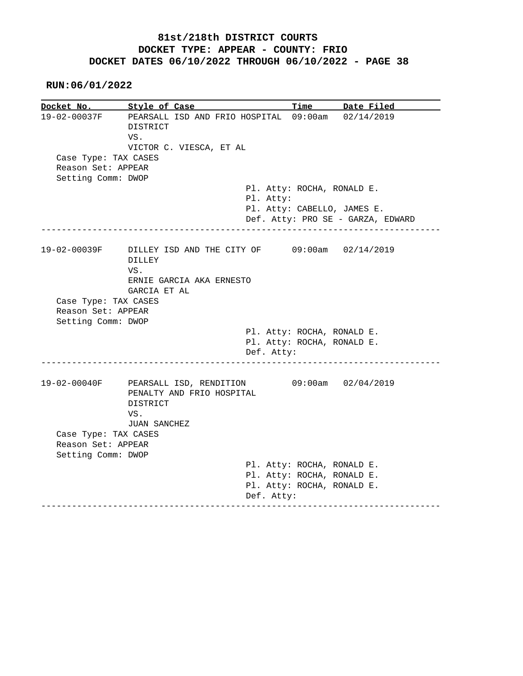|                                            | Docket No. Style of Case                                                          | <b>Time</b>                                              | Date Filed                        |
|--------------------------------------------|-----------------------------------------------------------------------------------|----------------------------------------------------------|-----------------------------------|
|                                            | 19-02-00037F PEARSALL ISD AND FRIO HOSPITAL 09:00am 02/14/2019<br>DISTRICT<br>VS. |                                                          |                                   |
|                                            | VICTOR C. VIESCA, ET AL                                                           |                                                          |                                   |
| Case Type: TAX CASES                       |                                                                                   |                                                          |                                   |
| Reason Set: APPEAR                         |                                                                                   |                                                          |                                   |
| Setting Comm: DWOP                         |                                                                                   |                                                          |                                   |
|                                            |                                                                                   | Pl. Atty: ROCHA, RONALD E.                               |                                   |
|                                            | Pl. Atty:                                                                         |                                                          |                                   |
|                                            |                                                                                   |                                                          | Pl. Atty: CABELLO, JAMES E.       |
|                                            |                                                                                   |                                                          | Def. Atty: PRO SE - GARZA, EDWARD |
|                                            |                                                                                   |                                                          |                                   |
| 19-02-00039F                               | DILLEY ISD AND THE CITY OF 09:00am 02/14/2019<br>DILLEY                           |                                                          |                                   |
|                                            | VS.                                                                               |                                                          |                                   |
|                                            | ERNIE GARCIA AKA ERNESTO                                                          |                                                          |                                   |
|                                            |                                                                                   |                                                          |                                   |
|                                            |                                                                                   |                                                          |                                   |
|                                            | GARCIA ET AL                                                                      |                                                          |                                   |
| Case Type: TAX CASES<br>Reason Set: APPEAR |                                                                                   |                                                          |                                   |
| Setting Comm: DWOP                         |                                                                                   |                                                          |                                   |
|                                            |                                                                                   | Pl. Atty: ROCHA, RONALD E.                               |                                   |
|                                            |                                                                                   | Pl. Atty: ROCHA, RONALD E.                               |                                   |
|                                            | Def. Atty:                                                                        |                                                          |                                   |
|                                            |                                                                                   |                                                          |                                   |
|                                            | 19-02-00040F PEARSALL ISD, RENDITION                                              |                                                          | $09:00$ am $02/04/2019$           |
|                                            | PENALTY AND FRIO HOSPITAL                                                         |                                                          |                                   |
|                                            | DISTRICT                                                                          |                                                          |                                   |
|                                            | VS.                                                                               |                                                          |                                   |
|                                            | <b>JUAN SANCHEZ</b>                                                               |                                                          |                                   |
| Case Type: TAX CASES                       |                                                                                   |                                                          |                                   |
| Reason Set: APPEAR                         |                                                                                   |                                                          |                                   |
| Setting Comm: DWOP                         |                                                                                   |                                                          |                                   |
|                                            |                                                                                   | Pl. Atty: ROCHA, RONALD E.                               |                                   |
|                                            |                                                                                   | Pl. Atty: ROCHA, RONALD E.<br>Pl. Atty: ROCHA, RONALD E. |                                   |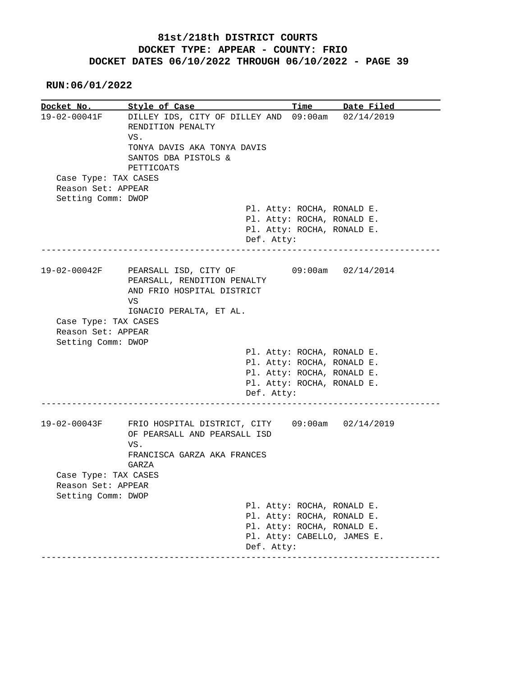**RUN:06/01/2022**

**Docket No.** Style of Case Time Date Filed 19-02-00041F DILLEY IDS, CITY OF DILLEY AND 09:00am 02/14/2019 RENDITION PENALTY VS. TONYA DAVIS AKA TONYA DAVIS SANTOS DBA PISTOLS & PETTICOATS Case Type: TAX CASES Reason Set: APPEAR Setting Comm: DWOP Pl. Atty: ROCHA, RONALD E. Pl. Atty: ROCHA, RONALD E. Pl. Atty: ROCHA, RONALD E. Def. Atty: ------------------------------------------------------------------------------ 19-02-00042F PEARSALL ISD, CITY OF 09:00am 02/14/2014 PEARSALL, RENDITION PENALTY AND FRIO HOSPITAL DISTRICT **VS** The Second Second Second Second Second Second Second Second Second Second Second Second Second Second Second Second Second Second Second Second Second Second Second Second Second Second Second Second Second Second Sec IGNACIO PERALTA, ET AL. Case Type: TAX CASES Reason Set: APPEAR Setting Comm: DWOP Pl. Atty: ROCHA, RONALD E. Pl. Atty: ROCHA, RONALD E. Pl. Atty: ROCHA, RONALD E. Pl. Atty: ROCHA, RONALD E. Def. Atty: ------------------------------------------------------------------------------ 19-02-00043F FRIO HOSPITAL DISTRICT, CITY 09:00am 02/14/2019 OF PEARSALL AND PEARSALL ISD VS. FRANCISCA GARZA AKA FRANCES GARZA Case Type: TAX CASES Reason Set: APPEAR Setting Comm: DWOP Pl. Atty: ROCHA, RONALD E. Pl. Atty: ROCHA, RONALD E. Pl. Atty: ROCHA, RONALD E. Pl. Atty: CABELLO, JAMES E. Def. Atty: ------------------------------------------------------------------------------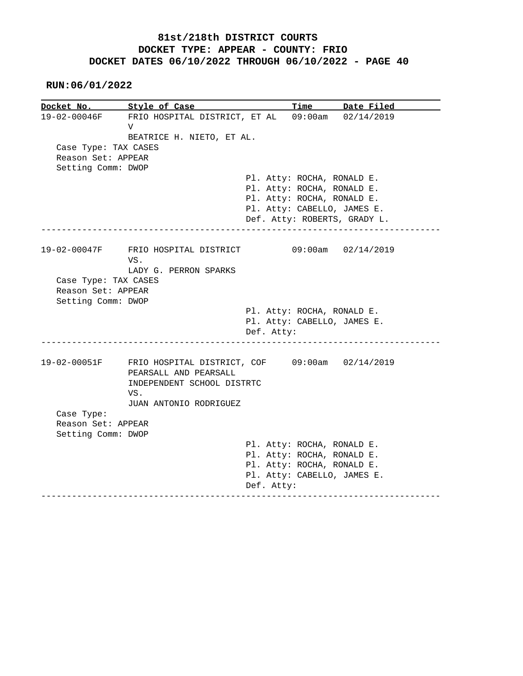| Docket No.           | Style of Case                                    |            | <u>Time</u>                  | Date Filed |
|----------------------|--------------------------------------------------|------------|------------------------------|------------|
| 19-02-00046F         | FRIO HOSPITAL DISTRICT, ET AL 09:00am 02/14/2019 |            |                              |            |
|                      | $\mathbf{V}$                                     |            |                              |            |
|                      | BEATRICE H. NIETO, ET AL.                        |            |                              |            |
| Case Type: TAX CASES |                                                  |            |                              |            |
| Reason Set: APPEAR   |                                                  |            |                              |            |
| Setting Comm: DWOP   |                                                  |            |                              |            |
|                      |                                                  |            | Pl. Atty: ROCHA, RONALD E.   |            |
|                      |                                                  |            | Pl. Atty: ROCHA, RONALD E.   |            |
|                      |                                                  |            | Pl. Atty: ROCHA, RONALD E.   |            |
|                      |                                                  |            | Pl. Atty: CABELLO, JAMES E.  |            |
|                      |                                                  |            | Def. Atty: ROBERTS, GRADY L. |            |
|                      |                                                  |            |                              |            |
| 19-02-00047F         | FRIO HOSPITAL DISTRICT                           |            | $09:00$ am $02/14/2019$      |            |
|                      | VS.                                              |            |                              |            |
|                      | LADY G. PERRON SPARKS                            |            |                              |            |
|                      |                                                  |            |                              |            |
| Case Type: TAX CASES |                                                  |            |                              |            |
| Reason Set: APPEAR   |                                                  |            |                              |            |
| Setting Comm: DWOP   |                                                  |            |                              |            |
|                      |                                                  |            | Pl. Atty: ROCHA, RONALD E.   |            |
|                      |                                                  |            | Pl. Atty: CABELLO, JAMES E.  |            |
|                      |                                                  | Def. Atty: |                              |            |
| 19-02-00051F         | FRIO HOSPITAL DISTRICT, COF 09:00am 02/14/2019   |            |                              |            |
|                      | PEARSALL AND PEARSALL                            |            |                              |            |
|                      | INDEPENDENT SCHOOL DISTRTC                       |            |                              |            |
|                      | VS.                                              |            |                              |            |
|                      | JUAN ANTONIO RODRIGUEZ                           |            |                              |            |
| Case Type:           |                                                  |            |                              |            |
| Reason Set: APPEAR   |                                                  |            |                              |            |
| Setting Comm: DWOP   |                                                  |            |                              |            |
|                      |                                                  |            | Pl. Atty: ROCHA, RONALD E.   |            |
|                      |                                                  |            | Pl. Atty: ROCHA, RONALD E.   |            |
|                      |                                                  |            | Pl. Atty: ROCHA, RONALD E.   |            |
|                      |                                                  | Def. Atty: | Pl. Atty: CABELLO, JAMES E.  |            |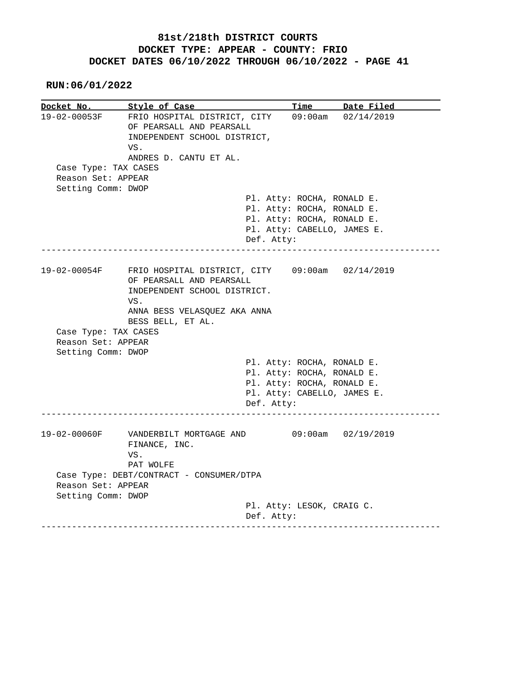**RUN:06/01/2022**

**Docket No. Style of Case Time Date Filed**  19-02-00053F FRIO HOSPITAL DISTRICT, CITY 09:00am 02/14/2019 OF PEARSALL AND PEARSALL INDEPENDENT SCHOOL DISTRICT, VS. ANDRES D. CANTU ET AL. Case Type: TAX CASES Reason Set: APPEAR Setting Comm: DWOP Pl. Atty: ROCHA, RONALD E. Pl. Atty: ROCHA, RONALD E. Pl. Atty: ROCHA, RONALD E. Pl. Atty: CABELLO, JAMES E. Def. Atty: ------------------------------------------------------------------------------ 19-02-00054F FRIO HOSPITAL DISTRICT, CITY 09:00am 02/14/2019 OF PEARSALL AND PEARSALL INDEPENDENT SCHOOL DISTRICT. VS. ANNA BESS VELASQUEZ AKA ANNA BESS BELL, ET AL. Case Type: TAX CASES Reason Set: APPEAR Setting Comm: DWOP Pl. Atty: ROCHA, RONALD E. Pl. Atty: ROCHA, RONALD E. Pl. Atty: ROCHA, RONALD E. Pl. Atty: CABELLO, JAMES E. Def. Atty: ------------------------------------------------------------------------------ 19-02-00060F VANDERBILT MORTGAGE AND 09:00am 02/19/2019 FINANCE, INC. VS. PAT WOLFE Case Type: DEBT/CONTRACT - CONSUMER/DTPA Reason Set: APPEAR Setting Comm: DWOP Pl. Atty: LESOK, CRAIG C. Def. Atty: ------------------------------------------------------------------------------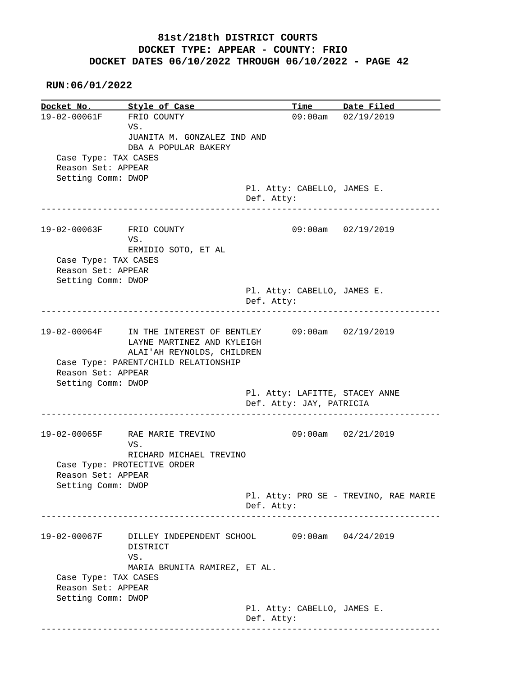**RUN:06/01/2022**

**Docket No. Style of Case Time Date Filed**  19-02-00061F FRIO COUNTY 09:00am 02/19/2019 VS. JUANITA M. GONZALEZ IND AND DBA A POPULAR BAKERY Case Type: TAX CASES Reason Set: APPEAR Setting Comm: DWOP Pl. Atty: CABELLO, JAMES E. Def. Atty: ------------------------------------------------------------------------------ 19-02-00063F FRIO COUNTY 09:00am 02/19/2019 VS. ERMIDIO SOTO, ET AL Case Type: TAX CASES Reason Set: APPEAR Setting Comm: DWOP Pl. Atty: CABELLO, JAMES E. Def. Atty: ------------------------------------------------------------------------------ 19-02-00064F IN THE INTEREST OF BENTLEY 09:00am 02/19/2019 LAYNE MARTINEZ AND KYLEIGH ALAI'AH REYNOLDS, CHILDREN Case Type: PARENT/CHILD RELATIONSHIP Reason Set: APPEAR Setting Comm: DWOP Pl. Atty: LAFITTE, STACEY ANNE Def. Atty: JAY, PATRICIA ------------------------------------------------------------------------------ 19-02-00065F RAE MARIE TREVINO 09:00am 02/21/2019 VS. RICHARD MICHAEL TREVINO Case Type: PROTECTIVE ORDER Reason Set: APPEAR Setting Comm: DWOP Pl. Atty: PRO SE - TREVINO, RAE MARIE Def. Atty: ------------------------------------------------------------------------------ 19-02-00067F DILLEY INDEPENDENT SCHOOL 09:00am 04/24/2019 DISTRICT VS. MARIA BRUNITA RAMIREZ, ET AL. Case Type: TAX CASES Reason Set: APPEAR Setting Comm: DWOP Pl. Atty: CABELLO, JAMES E. Def. Atty: ------------------------------------------------------------------------------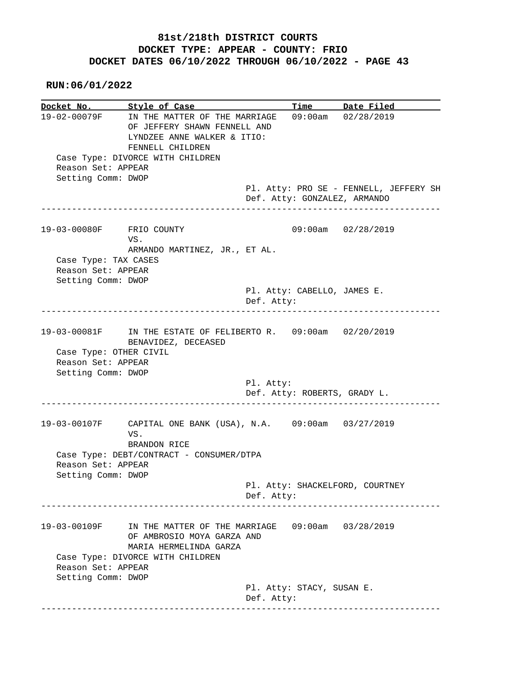| Docket No. Style of Case                                           |                                                                                                                                                                   |            |                             | Time Date Filed                                                        |
|--------------------------------------------------------------------|-------------------------------------------------------------------------------------------------------------------------------------------------------------------|------------|-----------------------------|------------------------------------------------------------------------|
| Reason Set: APPEAR                                                 | 19-02-00079F IN THE MATTER OF THE MARRIAGE<br>OF JEFFERY SHAWN FENNELL AND<br>LYNDZEE ANNE WALKER & ITIO:<br>FENNELL CHILDREN<br>Case Type: DIVORCE WITH CHILDREN |            |                             | 09:00am 02/28/2019                                                     |
| Setting Comm: DWOP                                                 |                                                                                                                                                                   |            |                             | Pl. Atty: PRO SE - FENNELL, JEFFERY SH<br>Def. Atty: GONZALEZ, ARMANDO |
| 19-03-00080F FRIO COUNTY                                           | VS.<br>ARMANDO MARTINEZ, JR., ET AL.                                                                                                                              |            |                             | 09:00am 02/28/2019                                                     |
| Case Type: TAX CASES<br>Reason Set: APPEAR<br>Setting Comm: DWOP   |                                                                                                                                                                   |            |                             |                                                                        |
|                                                                    |                                                                                                                                                                   | Def. Atty: | Pl. Atty: CABELLO, JAMES E. |                                                                        |
| Case Type: OTHER CIVIL<br>Reason Set: APPEAR<br>Setting Comm: DWOP | 19-03-00081F IN THE ESTATE OF FELIBERTO R. 09:00am 02/20/2019<br>BENAVIDEZ, DECEASED                                                                              |            |                             |                                                                        |
|                                                                    |                                                                                                                                                                   | Pl. Atty:  |                             | Def. Atty: ROBERTS, GRADY L.                                           |
| Reason Set: APPEAR                                                 | 19-03-00107F CAPITAL ONE BANK (USA), N.A. 09:00am 03/27/2019<br>VS.<br>BRANDON RICE<br>Case Type: DEBT/CONTRACT - CONSUMER/DTPA                                   |            |                             |                                                                        |
| Setting Comm: DWOP                                                 |                                                                                                                                                                   | Def. Atty: |                             | Pl. Atty: SHACKELFORD, COURTNEY                                        |
| 19-03-00109F                                                       | IN THE MATTER OF THE MARRIAGE<br>OF AMBROSIO MOYA GARZA AND<br>MARIA HERMELINDA GARZA                                                                             |            |                             | $09:00am$ $03/28/2019$                                                 |
| Reason Set: APPEAR<br>Setting Comm: DWOP                           | Case Type: DIVORCE WITH CHILDREN                                                                                                                                  |            |                             |                                                                        |
|                                                                    |                                                                                                                                                                   | Def. Atty: | Pl. Atty: STACY, SUSAN E.   |                                                                        |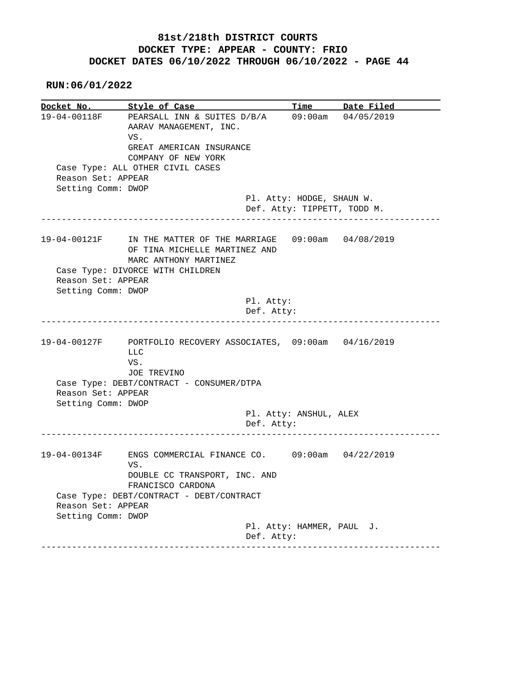|                    | Docket No. Style of Case                                                                 |                             | Time Date Filed                       |
|--------------------|------------------------------------------------------------------------------------------|-----------------------------|---------------------------------------|
| 19-04-00118F       | PEARSALL INN & SUITES D/B/A<br>AARAV MANAGEMENT, INC.<br>VS.<br>GREAT AMERICAN INSURANCE |                             | 09:00am 04/05/2019                    |
|                    | COMPANY OF NEW YORK                                                                      |                             |                                       |
|                    | Case Type: ALL OTHER CIVIL CASES                                                         |                             |                                       |
| Reason Set: APPEAR |                                                                                          |                             |                                       |
| Setting Comm: DWOP |                                                                                          |                             |                                       |
|                    |                                                                                          | Pl. Atty: HODGE, SHAUN W.   |                                       |
|                    | ----------------------------                                                             | Def. Atty: TIPPETT, TODD M. |                                       |
| 19-04-00121F       | IN THE MATTER OF THE MARRIAGE 09:00am 04/08/2019<br>OF TINA MICHELLE MARTINEZ AND        |                             |                                       |
|                    | MARC ANTHONY MARTINEZ                                                                    |                             |                                       |
|                    | Case Type: DIVORCE WITH CHILDREN                                                         |                             |                                       |
| Reason Set: APPEAR |                                                                                          |                             |                                       |
| Setting Comm: DWOP |                                                                                          |                             |                                       |
|                    | Pl. Atty:                                                                                |                             |                                       |
|                    | Def. Atty:<br>____________________________                                               |                             | _____________________________________ |
| 19-04-00127F       | PORTFOLIO RECOVERY ASSOCIATES, 09:00am 04/16/2019                                        |                             |                                       |
|                    | LLC                                                                                      |                             |                                       |
|                    | VS.                                                                                      |                             |                                       |
|                    | JOE TREVINO                                                                              |                             |                                       |
|                    | Case Type: DEBT/CONTRACT - CONSUMER/DTPA                                                 |                             |                                       |
| Reason Set: APPEAR |                                                                                          |                             |                                       |
| Setting Comm: DWOP |                                                                                          |                             |                                       |
|                    | Def. Atty:                                                                               | Pl. Atty: ANSHUL, ALEX      |                                       |
|                    |                                                                                          |                             |                                       |
| 19-04-00134F       | ENGS COMMERCIAL FINANCE CO. 09:00am 04/22/2019                                           |                             |                                       |
|                    | VS.                                                                                      |                             |                                       |
|                    | DOUBLE CC TRANSPORT, INC. AND<br>FRANCISCO CARDONA                                       |                             |                                       |
|                    | Case Type: DEBT/CONTRACT - DEBT/CONTRACT                                                 |                             |                                       |
| Reason Set: APPEAR |                                                                                          |                             |                                       |
| Setting Comm: DWOP |                                                                                          | Pl. Atty: HAMMER, PAUL J.   |                                       |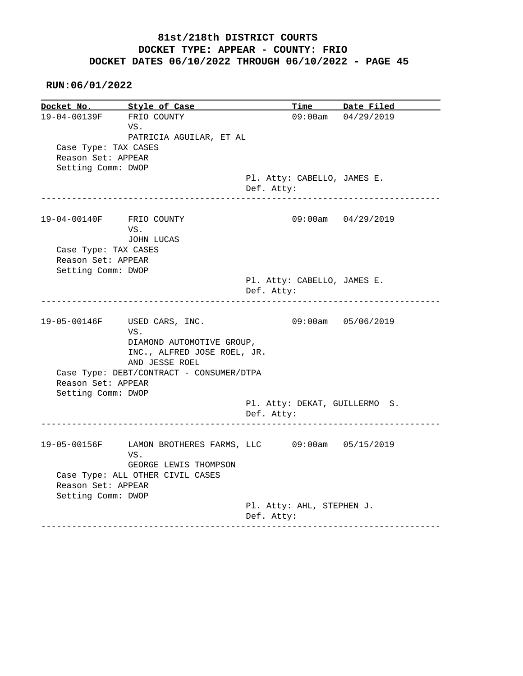|                                                                  | Style of Case                                                                                                     |                                             | Time Date Filed             |
|------------------------------------------------------------------|-------------------------------------------------------------------------------------------------------------------|---------------------------------------------|-----------------------------|
| 19-04-00139F FRIO COUNTY                                         | VS.<br>PATRICIA AGUILAR, ET AL                                                                                    |                                             | $09:00am$ $04/29/2019$      |
| Case Type: TAX CASES<br>Reason Set: APPEAR<br>Setting Comm: DWOP |                                                                                                                   |                                             |                             |
|                                                                  | --------------------------------                                                                                  | Pl. Atty: CABELLO, JAMES E.<br>Def. Atty:   | _________________________   |
| 19-04-00140F FRIO COUNTY                                         | VS.<br>JOHN LUCAS                                                                                                 |                                             | $09:00am$ $04/29/2019$      |
| Case Type: TAX CASES                                             |                                                                                                                   |                                             |                             |
| Reason Set: APPEAR<br>Setting Comm: DWOP                         |                                                                                                                   |                                             |                             |
|                                                                  |                                                                                                                   | Pl. Atty: CABELLO, JAMES E.<br>Def. Atty:   | --------------------------- |
|                                                                  |                                                                                                                   |                                             |                             |
|                                                                  |                                                                                                                   |                                             |                             |
|                                                                  | 19-05-00146F USED CARS, INC.<br>VS.<br>DIAMOND AUTOMOTIVE GROUP,<br>INC., ALFRED JOSE ROEL, JR.<br>AND JESSE ROEL |                                             | 09:00am 05/06/2019          |
| Reason Set: APPEAR                                               | Case Type: DEBT/CONTRACT - CONSUMER/DTPA                                                                          |                                             |                             |
| Setting Comm: DWOP                                               |                                                                                                                   | Pl. Atty: DEKAT, GUILLERMO S.<br>Def. Atty: |                             |
|                                                                  | 19-05-00156F LAMON BROTHERES FARMS, LLC 09:00am 05/15/2019                                                        |                                             |                             |
|                                                                  | VS.                                                                                                               |                                             |                             |
| Reason Set: APPEAR<br>Setting Comm: DWOP                         | GEORGE LEWIS THOMPSON<br>Case Type: ALL OTHER CIVIL CASES                                                         |                                             |                             |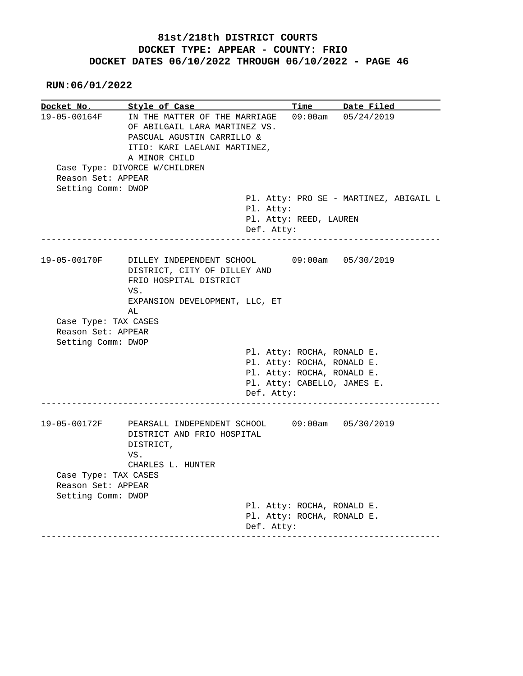**RUN:06/01/2022**

**Docket No. Style of Case Time Date Filed**  19-05-00164F IN THE MATTER OF THE MARRIAGE 09:00am 05/24/2019 OF ABILGAIL LARA MARTINEZ VS. PASCUAL AGUSTIN CARRILLO & ITIO: KARI LAELANI MARTINEZ, A MINOR CHILD Case Type: DIVORCE W/CHILDREN Reason Set: APPEAR Setting Comm: DWOP Pl. Atty: PRO SE - MARTINEZ, ABIGAIL L Pl. Atty: Pl. Atty: REED, LAUREN Def. Atty: ------------------------------------------------------------------------------ 19-05-00170F DILLEY INDEPENDENT SCHOOL 09:00am 05/30/2019 DISTRICT, CITY OF DILLEY AND FRIO HOSPITAL DISTRICT VS. EXPANSION DEVELOPMENT, LLC, ET AL Case Type: TAX CASES Reason Set: APPEAR Setting Comm: DWOP Pl. Atty: ROCHA, RONALD E. Pl. Atty: ROCHA, RONALD E. Pl. Atty: ROCHA, RONALD E. Pl. Atty: CABELLO, JAMES E. Def. Atty: ------------------------------------------------------------------------------ 19-05-00172F PEARSALL INDEPENDENT SCHOOL 09:00am 05/30/2019 DISTRICT AND FRIO HOSPITAL DISTRICT, VS. CHARLES L. HUNTER Case Type: TAX CASES Reason Set: APPEAR Setting Comm: DWOP Pl. Atty: ROCHA, RONALD E. Pl. Atty: ROCHA, RONALD E. Def. Atty: ------------------------------------------------------------------------------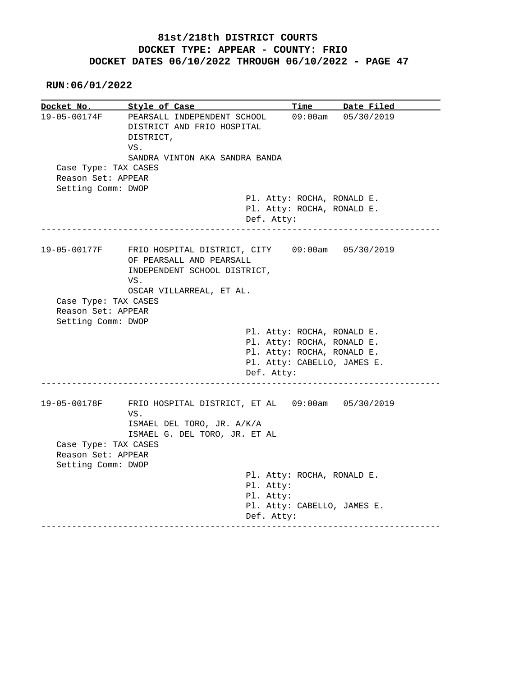**RUN:06/01/2022**

**Docket No. Style of Case Time Date Filed**  19-05-00174F PEARSALL INDEPENDENT SCHOOL 09:00am 05/30/2019 DISTRICT AND FRIO HOSPITAL DISTRICT, VS. SANDRA VINTON AKA SANDRA BANDA Case Type: TAX CASES Reason Set: APPEAR Setting Comm: DWOP Pl. Atty: ROCHA, RONALD E. Pl. Atty: ROCHA, RONALD E. Def. Atty: ------------------------------------------------------------------------------ 19-05-00177F FRIO HOSPITAL DISTRICT, CITY 09:00am 05/30/2019 OF PEARSALL AND PEARSALL INDEPENDENT SCHOOL DISTRICT, VS. OSCAR VILLARREAL, ET AL. Case Type: TAX CASES Reason Set: APPEAR Setting Comm: DWOP Pl. Atty: ROCHA, RONALD E. Pl. Atty: ROCHA, RONALD E. Pl. Atty: ROCHA, RONALD E. Pl. Atty: CABELLO, JAMES E. Def. Atty: ------------------------------------------------------------------------------ 19-05-00178F FRIO HOSPITAL DISTRICT, ET AL 09:00am 05/30/2019 VS. ISMAEL DEL TORO, JR. A/K/A ISMAEL G. DEL TORO, JR. ET AL Case Type: TAX CASES Reason Set: APPEAR Setting Comm: DWOP Pl. Atty: ROCHA, RONALD E. Pl. Atty: Pl. Atty: Pl. Atty: CABELLO, JAMES E. Def. Atty: ------------------------------------------------------------------------------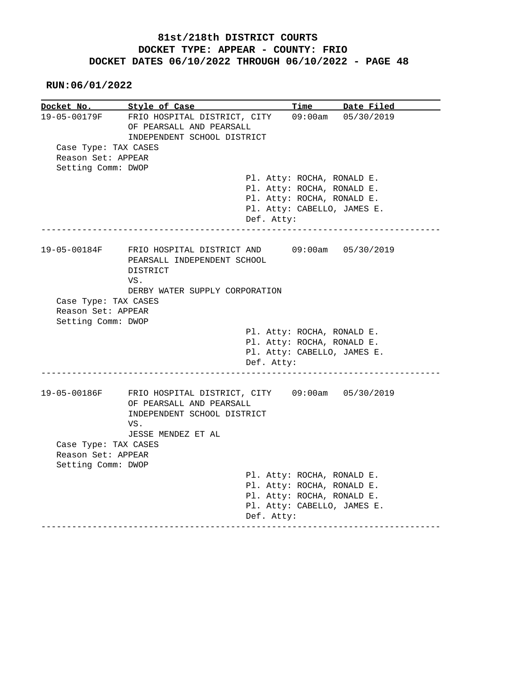**RUN:06/01/2022**

**Docket No. Style of Case Time Date Filed**  19-05-00179F FRIO HOSPITAL DISTRICT, CITY 09:00am 05/30/2019 OF PEARSALL AND PEARSALL INDEPENDENT SCHOOL DISTRICT Case Type: TAX CASES Reason Set: APPEAR Setting Comm: DWOP Pl. Atty: ROCHA, RONALD E. Pl. Atty: ROCHA, RONALD E. Pl. Atty: ROCHA, RONALD E. Pl. Atty: CABELLO, JAMES E. Def. Atty: ------------------------------------------------------------------------------ 19-05-00184F FRIO HOSPITAL DISTRICT AND 09:00am 05/30/2019 PEARSALL INDEPENDENT SCHOOL DISTRICT VS. DERBY WATER SUPPLY CORPORATION Case Type: TAX CASES Reason Set: APPEAR Setting Comm: DWOP Pl. Atty: ROCHA, RONALD E. Pl. Atty: ROCHA, RONALD E. Pl. Atty: CABELLO, JAMES E. Def. Atty: ------------------------------------------------------------------------------ 19-05-00186F FRIO HOSPITAL DISTRICT, CITY 09:00am 05/30/2019 OF PEARSALL AND PEARSALL INDEPENDENT SCHOOL DISTRICT VS. JESSE MENDEZ ET AL Case Type: TAX CASES Reason Set: APPEAR Setting Comm: DWOP Pl. Atty: ROCHA, RONALD E. Pl. Atty: ROCHA, RONALD E. Pl. Atty: ROCHA, RONALD E. Pl. Atty: CABELLO, JAMES E. Def. Atty: ------------------------------------------------------------------------------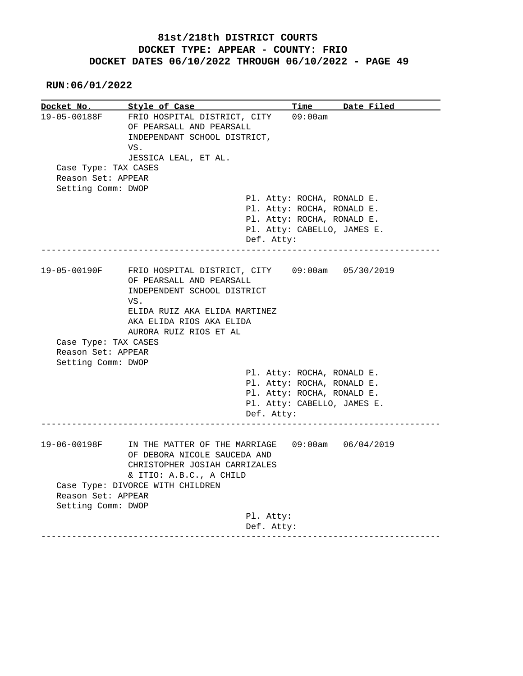**RUN:06/01/2022**

**Docket No.** Style of Case Time Date Filed 19-05-00188F FRIO HOSPITAL DISTRICT, CITY 09:00am OF PEARSALL AND PEARSALL INDEPENDANT SCHOOL DISTRICT, VS. JESSICA LEAL, ET AL. Case Type: TAX CASES Reason Set: APPEAR Setting Comm: DWOP Pl. Atty: ROCHA, RONALD E. Pl. Atty: ROCHA, RONALD E. Pl. Atty: ROCHA, RONALD E. Pl. Atty: CABELLO, JAMES E. Def. Atty: ------------------------------------------------------------------------------ 19-05-00190F FRIO HOSPITAL DISTRICT, CITY 09:00am 05/30/2019 OF PEARSALL AND PEARSALL INDEPENDENT SCHOOL DISTRICT VS. ELIDA RUIZ AKA ELIDA MARTINEZ AKA ELIDA RIOS AKA ELIDA AURORA RUIZ RIOS ET AL Case Type: TAX CASES Reason Set: APPEAR Setting Comm: DWOP Pl. Atty: ROCHA, RONALD E. Pl. Atty: ROCHA, RONALD E. Pl. Atty: ROCHA, RONALD E. Pl. Atty: CABELLO, JAMES E. Def. Atty: ------------------------------------------------------------------------------ 19-06-00198F IN THE MATTER OF THE MARRIAGE 09:00am 06/04/2019 OF DEBORA NICOLE SAUCEDA AND CHRISTOPHER JOSIAH CARRIZALES & ITIO: A.B.C., A CHILD Case Type: DIVORCE WITH CHILDREN Reason Set: APPEAR Setting Comm: DWOP Pl. Atty: Def. Atty: ------------------------------------------------------------------------------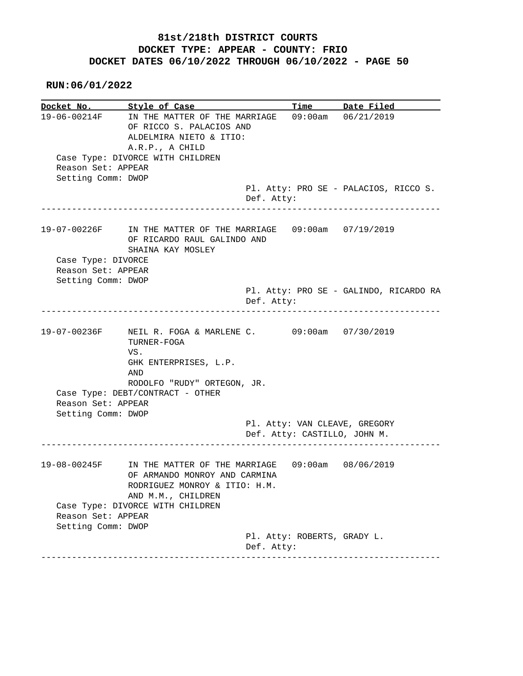**RUN:06/01/2022**

**Docket No. Style of Case Time Date Filed**  19-06-00214F IN THE MATTER OF THE MARRIAGE 09:00am 06/21/2019 OF RICCO S. PALACIOS AND ALDELMIRA NIETO & ITIO: A.R.P., A CHILD Case Type: DIVORCE WITH CHILDREN Reason Set: APPEAR Setting Comm: DWOP Pl. Atty: PRO SE - PALACIOS, RICCO S. Def. Atty: ------------------------------------------------------------------------------ 19-07-00226F IN THE MATTER OF THE MARRIAGE 09:00am 07/19/2019 OF RICARDO RAUL GALINDO AND SHAINA KAY MOSLEY Case Type: DIVORCE Reason Set: APPEAR Setting Comm: DWOP Pl. Atty: PRO SE - GALINDO, RICARDO RA Def. Atty: ------------------------------------------------------------------------------ 19-07-00236F NEIL R. FOGA & MARLENE C. 09:00am 07/30/2019 TURNER-FOGA VS. GHK ENTERPRISES, L.P. AND RODOLFO "RUDY" ORTEGON, JR. Case Type: DEBT/CONTRACT - OTHER Reason Set: APPEAR Setting Comm: DWOP Pl. Atty: VAN CLEAVE, GREGORY Def. Atty: CASTILLO, JOHN M. ------------------------------------------------------------------------------ 19-08-00245F IN THE MATTER OF THE MARRIAGE 09:00am 08/06/2019 OF ARMANDO MONROY AND CARMINA RODRIGUEZ MONROY & ITIO: H.M. AND M.M., CHILDREN Case Type: DIVORCE WITH CHILDREN Reason Set: APPEAR Setting Comm: DWOP Pl. Atty: ROBERTS, GRADY L. Def. Atty: ------------------------------------------------------------------------------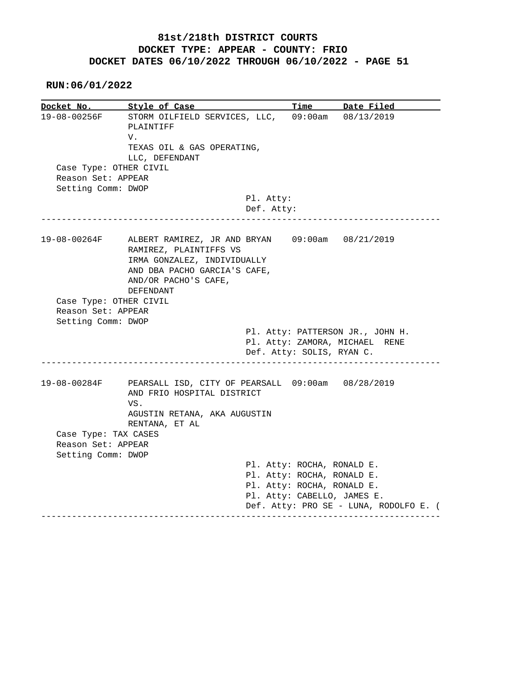**RUN:06/01/2022**

**Docket No. Style of Case Time Date Filed**  19-08-00256F STORM OILFIELD SERVICES, LLC, 09:00am 08/13/2019 PLAINTIFF V. TEXAS OIL & GAS OPERATING, LLC, DEFENDANT Case Type: OTHER CIVIL Reason Set: APPEAR Setting Comm: DWOP Pl. Atty: Def. Atty: ------------------------------------------------------------------------------ 19-08-00264F ALBERT RAMIREZ, JR AND BRYAN 09:00am 08/21/2019 RAMIREZ, PLAINTIFFS VS IRMA GONZALEZ, INDIVIDUALLY AND DBA PACHO GARCIA'S CAFE, AND/OR PACHO'S CAFE, DEFENDANT Case Type: OTHER CIVIL Reason Set: APPEAR Setting Comm: DWOP Pl. Atty: PATTERSON JR., JOHN H. Pl. Atty: ZAMORA, MICHAEL RENE Def. Atty: SOLIS, RYAN C. ------------------------------------------------------------------------------ 19-08-00284F PEARSALL ISD, CITY OF PEARSALL 09:00am 08/28/2019 AND FRIO HOSPITAL DISTRICT VS. AGUSTIN RETANA, AKA AUGUSTIN RENTANA, ET AL Case Type: TAX CASES Reason Set: APPEAR Setting Comm: DWOP Pl. Atty: ROCHA, RONALD E. Pl. Atty: ROCHA, RONALD E. Pl. Atty: ROCHA, RONALD E. Pl. Atty: CABELLO, JAMES E. Def. Atty: PRO SE - LUNA, RODOLFO E. ( ------------------------------------------------------------------------------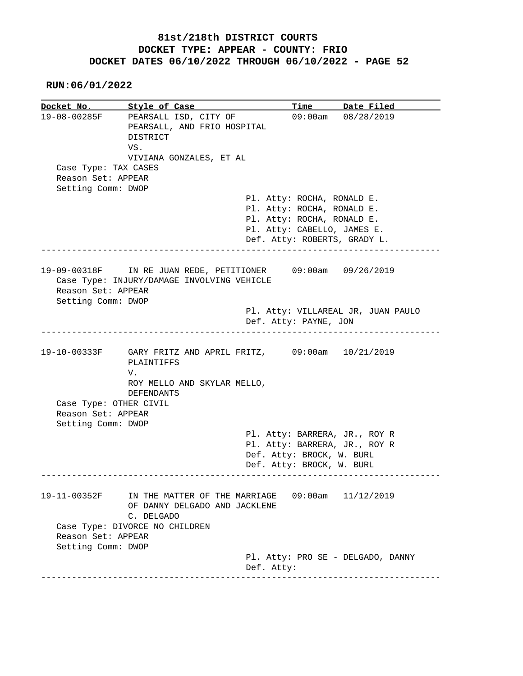**RUN:06/01/2022**

**Docket No. Style of Case Time Date Filed**  19-08-00285F PEARSALL ISD, CITY OF 09:00am 08/28/2019 PEARSALL, AND FRIO HOSPITAL DISTRICT VS. VIVIANA GONZALES, ET AL Case Type: TAX CASES Reason Set: APPEAR Setting Comm: DWOP Pl. Atty: ROCHA, RONALD E. Pl. Atty: ROCHA, RONALD E. Pl. Atty: ROCHA, RONALD E. Pl. Atty: CABELLO, JAMES E. Def. Atty: ROBERTS, GRADY L. ------------------------------------------------------------------------------ 19-09-00318F IN RE JUAN REDE, PETITIONER 09:00am 09/26/2019 Case Type: INJURY/DAMAGE INVOLVING VEHICLE Reason Set: APPEAR Setting Comm: DWOP Pl. Atty: VILLAREAL JR, JUAN PAULO Def. Atty: PAYNE, JON ------------------------------------------------------------------------------ 19-10-00333F GARY FRITZ AND APRIL FRITZ, 09:00am 10/21/2019 PLAINTIFFS V. ROY MELLO AND SKYLAR MELLO, DEFENDANTS Case Type: OTHER CIVIL Reason Set: APPEAR Setting Comm: DWOP Pl. Atty: BARRERA, JR., ROY R Pl. Atty: BARRERA, JR., ROY R Def. Atty: BROCK, W. BURL Def. Atty: BROCK, W. BURL ------------------------------------------------------------------------------ 19-11-00352F IN THE MATTER OF THE MARRIAGE 09:00am 11/12/2019 OF DANNY DELGADO AND JACKLENE C. DELGADO Case Type: DIVORCE NO CHILDREN Reason Set: APPEAR Setting Comm: DWOP Pl. Atty: PRO SE - DELGADO, DANNY Def. Atty: ------------------------------------------------------------------------------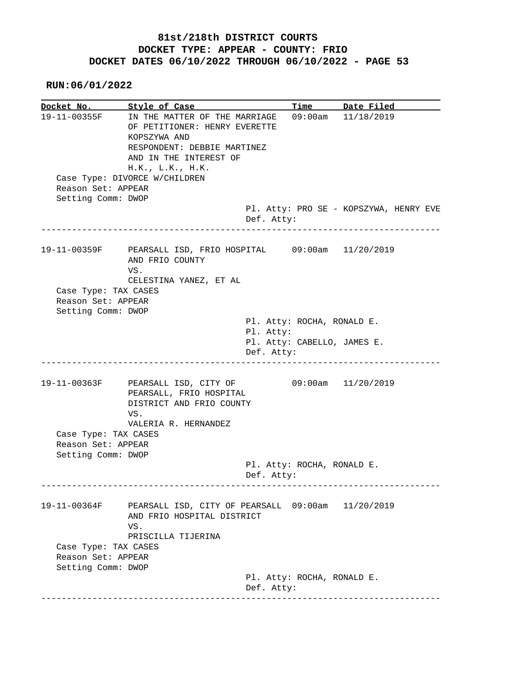**RUN:06/01/2022**

**Docket No. Style of Case Time Date Filed**  19-11-00355F IN THE MATTER OF THE MARRIAGE 09:00am 11/18/2019 OF PETITIONER: HENRY EVERETTE KOPSZYWA AND RESPONDENT: DEBBIE MARTINEZ AND IN THE INTEREST OF H.K., L.K., H.K. Case Type: DIVORCE W/CHILDREN Reason Set: APPEAR Setting Comm: DWOP Pl. Atty: PRO SE - KOPSZYWA, HENRY EVE Def. Atty: ------------------------------------------------------------------------------ 19-11-00359F PEARSALL ISD, FRIO HOSPITAL 09:00am 11/20/2019 AND FRIO COUNTY VS. CELESTINA YANEZ, ET AL Case Type: TAX CASES Reason Set: APPEAR Setting Comm: DWOP Pl. Atty: ROCHA, RONALD E. Pl. Atty: Pl. Atty: CABELLO, JAMES E. Def. Atty: ------------------------------------------------------------------------------ 19-11-00363F PEARSALL ISD, CITY OF 09:00am 11/20/2019 PEARSALL, FRIO HOSPITAL DISTRICT AND FRIO COUNTY VS. VALERIA R. HERNANDEZ Case Type: TAX CASES Reason Set: APPEAR Setting Comm: DWOP Pl. Atty: ROCHA, RONALD E. Def. Atty: ------------------------------------------------------------------------------ 19-11-00364F PEARSALL ISD, CITY OF PEARSALL 09:00am 11/20/2019 AND FRIO HOSPITAL DISTRICT VS. PRISCILLA TIJERINA Case Type: TAX CASES Reason Set: APPEAR Setting Comm: DWOP Pl. Atty: ROCHA, RONALD E. Def. Atty: ------------------------------------------------------------------------------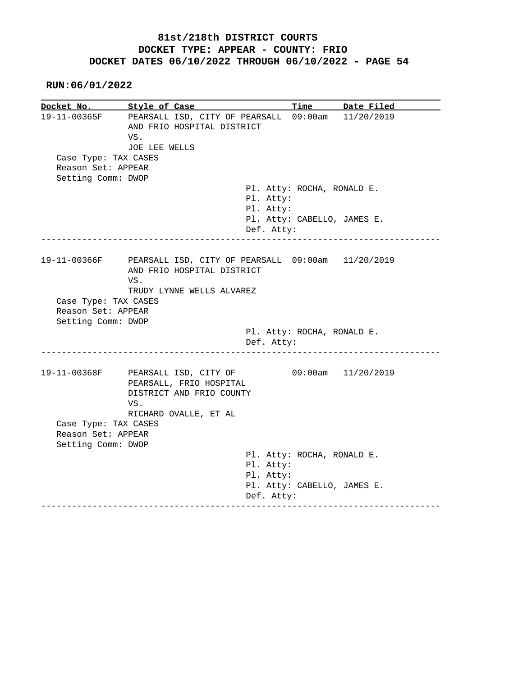|                      | Docket No. Style of Case                                                        |                             | Time Date Filed    |
|----------------------|---------------------------------------------------------------------------------|-----------------------------|--------------------|
| 19-11-00365F         | PEARSALL ISD, CITY OF PEARSALL 09:00am<br>AND FRIO HOSPITAL DISTRICT<br>VS.     |                             | 11/20/2019         |
|                      | JOE LEE WELLS                                                                   |                             |                    |
| Case Type: TAX CASES |                                                                                 |                             |                    |
| Reason Set: APPEAR   |                                                                                 |                             |                    |
| Setting Comm: DWOP   |                                                                                 |                             |                    |
|                      |                                                                                 | Pl. Atty: ROCHA, RONALD E.  |                    |
|                      | Pl. Atty:                                                                       |                             |                    |
|                      | Pl. Atty:                                                                       |                             |                    |
|                      |                                                                                 | Pl. Atty: CABELLO, JAMES E. |                    |
|                      | Def. Atty:                                                                      |                             | --------------     |
|                      |                                                                                 |                             |                    |
| 19-11-00366F         | PEARSALL ISD, CITY OF PEARSALL 09:00am 11/20/2019<br>AND FRIO HOSPITAL DISTRICT |                             |                    |
|                      | VS.                                                                             |                             |                    |
|                      |                                                                                 |                             |                    |
|                      | TRUDY LYNNE WELLS ALVAREZ                                                       |                             |                    |
| Case Type: TAX CASES |                                                                                 |                             |                    |
| Reason Set: APPEAR   |                                                                                 |                             |                    |
| Setting Comm: DWOP   |                                                                                 |                             |                    |
|                      |                                                                                 | Pl. Atty: ROCHA, RONALD E.  |                    |
|                      | Def. Atty:                                                                      |                             |                    |
|                      |                                                                                 |                             |                    |
| 19-11-00368F         | PEARSALL ISD, CITY OF                                                           |                             | 09:00am 11/20/2019 |
|                      | PEARSALL, FRIO HOSPITAL                                                         |                             |                    |
|                      | DISTRICT AND FRIO COUNTY                                                        |                             |                    |
|                      | VS.                                                                             |                             |                    |
|                      | RICHARD OVALLE, ET AL                                                           |                             |                    |
| Case Type: TAX CASES |                                                                                 |                             |                    |
| Reason Set: APPEAR   |                                                                                 |                             |                    |
| Setting Comm: DWOP   |                                                                                 |                             |                    |
|                      | Pl. Atty:                                                                       | Pl. Atty: ROCHA, RONALD E.  |                    |
|                      | Pl. Atty:                                                                       |                             |                    |
|                      |                                                                                 | Pl. Atty: CABELLO, JAMES E. |                    |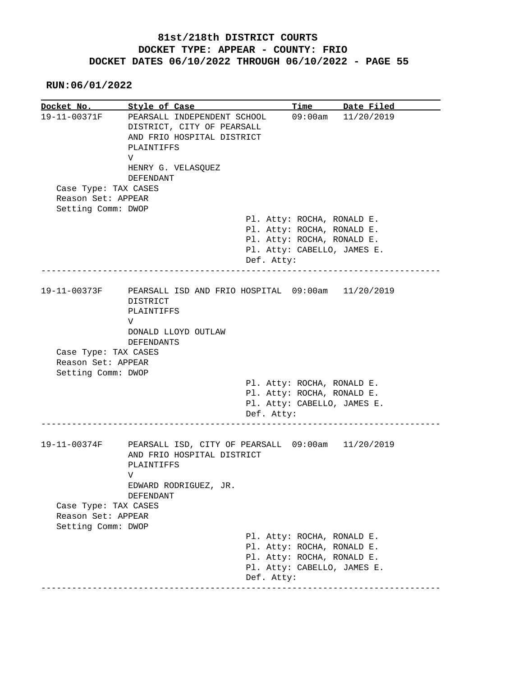**RUN:06/01/2022**

**Docket No.** Style of Case Time Date Filed 19-11-00371F PEARSALL INDEPENDENT SCHOOL 09:00am 11/20/2019 DISTRICT, CITY OF PEARSALL AND FRIO HOSPITAL DISTRICT PLAINTIFFS V HENRY G. VELASQUEZ DEFENDANT Case Type: TAX CASES Reason Set: APPEAR Setting Comm: DWOP Pl. Atty: ROCHA, RONALD E. Pl. Atty: ROCHA, RONALD E. Pl. Atty: ROCHA, RONALD E. Pl. Atty: CABELLO, JAMES E. Def. Atty: ------------------------------------------------------------------------------ 19-11-00373F PEARSALL ISD AND FRIO HOSPITAL 09:00am 11/20/2019 DISTRICT PLAINTIFFS V DONALD LLOYD OUTLAW DEFENDANTS Case Type: TAX CASES Reason Set: APPEAR Setting Comm: DWOP Pl. Atty: ROCHA, RONALD E. Pl. Atty: ROCHA, RONALD E. Pl. Atty: CABELLO, JAMES E. Def. Atty: ------------------------------------------------------------------------------ 19-11-00374F PEARSALL ISD, CITY OF PEARSALL 09:00am 11/20/2019 AND FRIO HOSPITAL DISTRICT PLAINTIFFS V EDWARD RODRIGUEZ, JR. DEFENDANT Case Type: TAX CASES Reason Set: APPEAR Setting Comm: DWOP Pl. Atty: ROCHA, RONALD E. Pl. Atty: ROCHA, RONALD E. Pl. Atty: ROCHA, RONALD E. Pl. Atty: CABELLO, JAMES E. Def. Atty: ------------------------------------------------------------------------------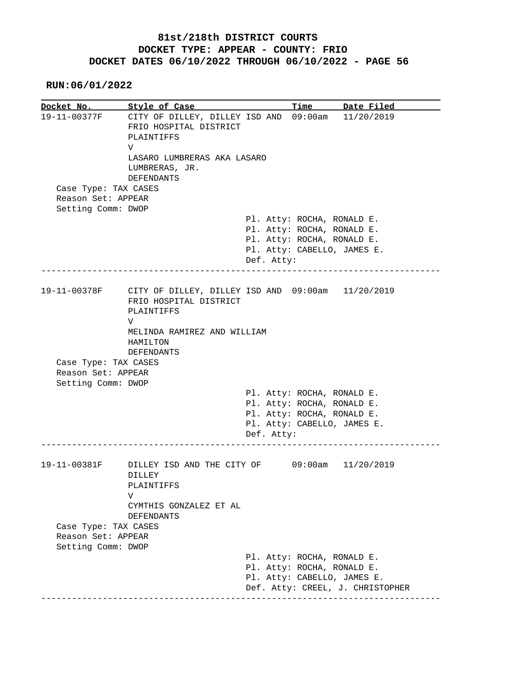**RUN:06/01/2022**

**Docket No. Style of Case Time Date Filed**  19-11-00377F CITY OF DILLEY, DILLEY ISD AND 09:00am 11/20/2019 FRIO HOSPITAL DISTRICT PLAINTIFFS V LASARO LUMBRERAS AKA LASARO LUMBRERAS, JR. DEFENDANTS Case Type: TAX CASES Reason Set: APPEAR Setting Comm: DWOP Pl. Atty: ROCHA, RONALD E. Pl. Atty: ROCHA, RONALD E. Pl. Atty: ROCHA, RONALD E. Pl. Atty: CABELLO, JAMES E. Def. Atty: ------------------------------------------------------------------------------ 19-11-00378F CITY OF DILLEY, DILLEY ISD AND 09:00am 11/20/2019 FRIO HOSPITAL DISTRICT PLAINTIFFS V MELINDA RAMIREZ AND WILLIAM HAMILTON DEFENDANTS Case Type: TAX CASES Reason Set: APPEAR Setting Comm: DWOP Pl. Atty: ROCHA, RONALD E. Pl. Atty: ROCHA, RONALD E. Pl. Atty: ROCHA, RONALD E. Pl. Atty: CABELLO, JAMES E. Def. Atty: ------------------------------------------------------------------------------ 19-11-00381F DILLEY ISD AND THE CITY OF 09:00am 11/20/2019 DILLEY PLAINTIFFS V CYMTHIS GONZALEZ ET AL DEFENDANTS Case Type: TAX CASES Reason Set: APPEAR Setting Comm: DWOP Pl. Atty: ROCHA, RONALD E. Pl. Atty: ROCHA, RONALD E. Pl. Atty: CABELLO, JAMES E. Def. Atty: CREEL, J. CHRISTOPHER ------------------------------------------------------------------------------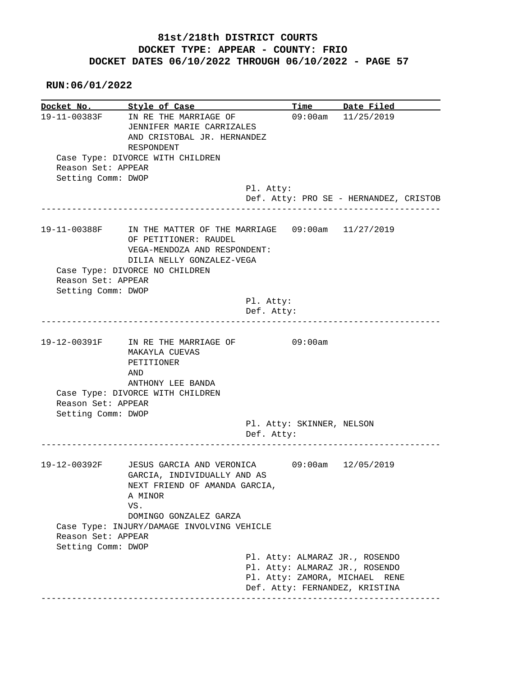|                                          | Docket No. Style of Case                                                                                                                            |                                         | Time Date Filed                        |
|------------------------------------------|-----------------------------------------------------------------------------------------------------------------------------------------------------|-----------------------------------------|----------------------------------------|
|                                          | 19-11-00383F IN RE THE MARRIAGE OF<br>JENNIFER MARIE CARRIZALES<br>AND CRISTOBAL JR. HERNANDEZ<br>RESPONDENT                                        |                                         | 09:00am 11/25/2019                     |
| Reason Set: APPEAR                       | Case Type: DIVORCE WITH CHILDREN                                                                                                                    |                                         |                                        |
| Setting Comm: DWOP                       |                                                                                                                                                     | Pl. Atty:                               |                                        |
|                                          |                                                                                                                                                     |                                         | Def. Atty: PRO SE - HERNANDEZ, CRISTOB |
|                                          | 19-11-00388F IN THE MATTER OF THE MARRIAGE 09:00am 11/27/2019<br>OF PETITIONER: RAUDEL<br>VEGA-MENDOZA AND RESPONDENT:<br>DILIA NELLY GONZALEZ-VEGA |                                         |                                        |
| Reason Set: APPEAR                       | Case Type: DIVORCE NO CHILDREN                                                                                                                      |                                         |                                        |
| Setting Comm: DWOP                       |                                                                                                                                                     |                                         |                                        |
|                                          |                                                                                                                                                     | Pl. Atty:                               |                                        |
|                                          |                                                                                                                                                     | Def. Atty:                              |                                        |
|                                          |                                                                                                                                                     |                                         |                                        |
|                                          | 19-12-00391F IN RE THE MARRIAGE OF<br>MAKAYLA CUEVAS<br>PETITIONER<br>AND<br>ANTHONY LEE BANDA                                                      | 09:00am                                 |                                        |
|                                          | Case Type: DIVORCE WITH CHILDREN                                                                                                                    |                                         |                                        |
| Reason Set: APPEAR                       |                                                                                                                                                     |                                         |                                        |
| Setting Comm: DWOP                       |                                                                                                                                                     |                                         |                                        |
|                                          |                                                                                                                                                     | Pl. Atty: SKINNER, NELSON<br>Def. Atty: |                                        |
|                                          |                                                                                                                                                     |                                         |                                        |
|                                          | 19-12-00392F JESUS GARCIA AND VERONICA<br>GARCIA, INDIVIDUALLY AND AS<br>NEXT FRIEND OF AMANDA GARCIA,                                              |                                         | 09:00am 12/05/2019                     |
|                                          | A MINOR<br>VS.                                                                                                                                      |                                         |                                        |
|                                          | DOMINGO GONZALEZ GARZA                                                                                                                              |                                         |                                        |
|                                          | Case Type: INJURY/DAMAGE INVOLVING VEHICLE                                                                                                          |                                         |                                        |
| Reason Set: APPEAR<br>Setting Comm: DWOP |                                                                                                                                                     |                                         |                                        |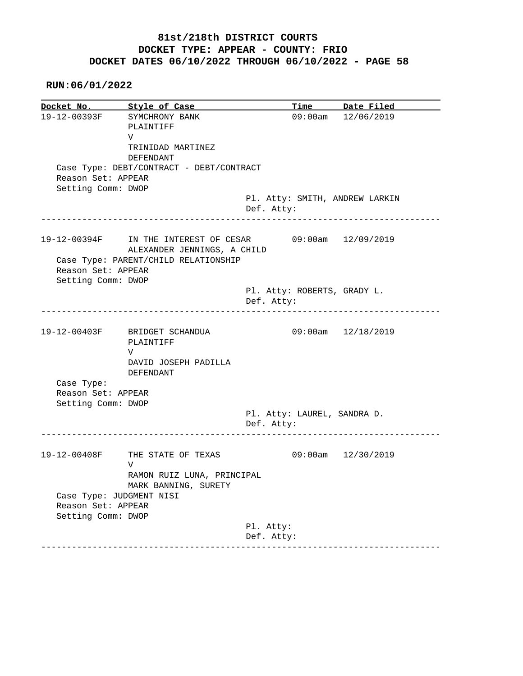|                                                | Docket No. Style of Case                                             |            |                             | Time Date Filed                |
|------------------------------------------------|----------------------------------------------------------------------|------------|-----------------------------|--------------------------------|
|                                                | 19-12-00393F SYMCHRONY BANK<br>PLAINTIFF<br>V                        |            |                             | 09:00am 12/06/2019             |
|                                                | TRINIDAD MARTINEZ                                                    |            |                             |                                |
|                                                | DEFENDANT                                                            |            |                             |                                |
|                                                | Case Type: DEBT/CONTRACT - DEBT/CONTRACT                             |            |                             |                                |
| Reason Set: APPEAR<br>Setting Comm: DWOP       |                                                                      |            |                             |                                |
|                                                |                                                                      |            |                             | Pl. Atty: SMITH, ANDREW LARKIN |
|                                                |                                                                      | Def. Atty: |                             |                                |
|                                                | 19-12-00394F IN THE INTEREST OF CESAR<br>ALEXANDER JENNINGS, A CHILD |            |                             | 09:00am 12/09/2019             |
|                                                | Case Type: PARENT/CHILD RELATIONSHIP                                 |            |                             |                                |
| Reason Set: APPEAR                             |                                                                      |            |                             |                                |
| Setting Comm: DWOP                             |                                                                      |            | Pl. Atty: ROBERTS, GRADY L. |                                |
|                                                |                                                                      | Def. Atty: |                             |                                |
|                                                |                                                                      |            |                             |                                |
|                                                | 19-12-00403F BRIDGET SCHANDUA<br>PLAINTIFF                           |            |                             | 09:00am 12/18/2019             |
|                                                | V<br>DAVID JOSEPH PADILLA                                            |            |                             |                                |
|                                                | DEFENDANT                                                            |            |                             |                                |
| Case Type:                                     |                                                                      |            |                             |                                |
| Reason Set: APPEAR                             |                                                                      |            |                             |                                |
| Setting Comm: DWOP                             |                                                                      |            | Pl. Atty: LAUREL, SANDRA D. |                                |
|                                                |                                                                      | Def. Atty: |                             |                                |
| 19-12-00408F                                   | THE STATE OF TEXAS                                                   |            |                             | 09:00am 12/30/2019             |
|                                                | V                                                                    |            |                             |                                |
|                                                | RAMON RUIZ LUNA, PRINCIPAL<br>MARK BANNING, SURETY                   |            |                             |                                |
|                                                |                                                                      |            |                             |                                |
| Case Type: JUDGMENT NISI<br>Reason Set: APPEAR |                                                                      |            |                             |                                |
| Setting Comm: DWOP                             |                                                                      | Pl. Atty:  |                             |                                |